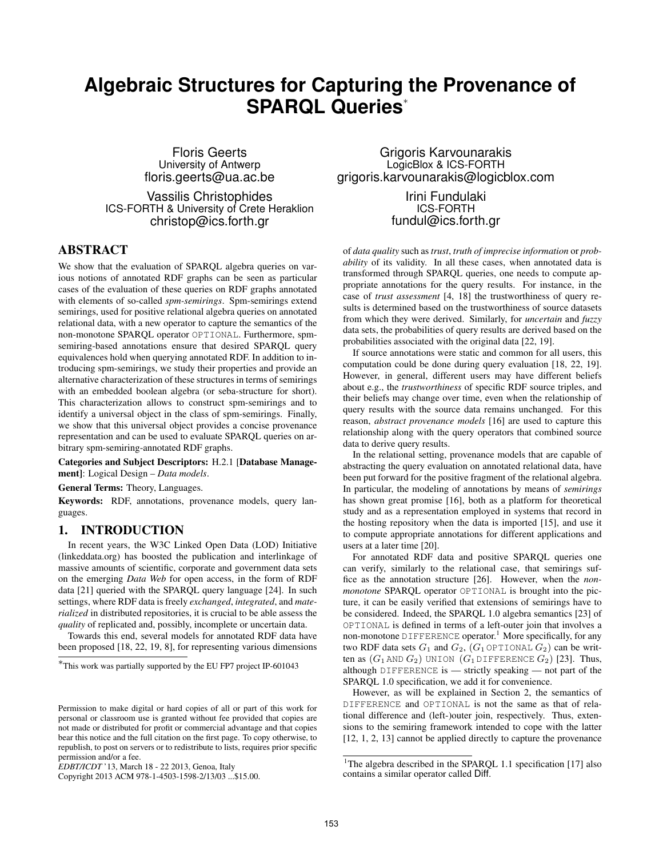# **Algebraic Structures for Capturing the Provenance of SPARQL Queries**<sup>∗</sup>

Floris Geerts University of Antwerp floris.geerts@ua.ac.be

Vassilis Christophides ICS-FORTH & University of Crete Heraklion christop@ics.forth.gr

# ABSTRACT

We show that the evaluation of SPARQL algebra queries on various notions of annotated RDF graphs can be seen as particular cases of the evaluation of these queries on RDF graphs annotated with elements of so-called *spm-semirings*. Spm-semirings extend semirings, used for positive relational algebra queries on annotated relational data, with a new operator to capture the semantics of the non-monotone SPARQL operator OPTIONAL. Furthermore, spmsemiring-based annotations ensure that desired SPARQL query equivalences hold when querying annotated RDF. In addition to introducing spm-semirings, we study their properties and provide an alternative characterization of these structures in terms of semirings with an embedded boolean algebra (or seba-structure for short). This characterization allows to construct spm-semirings and to identify a universal object in the class of spm-semirings. Finally, we show that this universal object provides a concise provenance representation and can be used to evaluate SPARQL queries on arbitrary spm-semiring-annotated RDF graphs.

Categories and Subject Descriptors: H.2.1 [Database Management]: Logical Design – *Data models*.

General Terms: Theory, Languages.

Keywords: RDF, annotations, provenance models, query languages.

## 1. INTRODUCTION

In recent years, the W3C Linked Open Data (LOD) Initiative (linkeddata.org) has boosted the publication and interlinkage of massive amounts of scientific, corporate and government data sets on the emerging *Data Web* for open access, in the form of RDF data [21] queried with the SPARQL query language [24]. In such settings, where RDF data is freely *exchanged*, *integrated*, and *materialized* in distributed repositories, it is crucial to be able assess the *quality* of replicated and, possibly, incomplete or uncertain data.

Towards this end, several models for annotated RDF data have been proposed [18, 22, 19, 8], for representing various dimensions

Grigoris Karvounarakis LogicBlox & ICS-FORTH grigoris.karvounarakis@logicblox.com

> Irini Fundulaki ICS-FORTH fundul@ics.forth.gr

of *data quality* such as *trust*, *truth of imprecise information* or *probability* of its validity. In all these cases, when annotated data is transformed through SPARQL queries, one needs to compute appropriate annotations for the query results. For instance, in the case of *trust assessment* [4, 18] the trustworthiness of query results is determined based on the trustworthiness of source datasets from which they were derived. Similarly, for *uncertain* and *fuzzy* data sets, the probabilities of query results are derived based on the probabilities associated with the original data [22, 19].

If source annotations were static and common for all users, this computation could be done during query evaluation [18, 22, 19]. However, in general, different users may have different beliefs about e.g., the *trustworthiness* of specific RDF source triples, and their beliefs may change over time, even when the relationship of query results with the source data remains unchanged. For this reason, *abstract provenance models* [16] are used to capture this relationship along with the query operators that combined source data to derive query results.

In the relational setting, provenance models that are capable of abstracting the query evaluation on annotated relational data, have been put forward for the positive fragment of the relational algebra. In particular, the modeling of annotations by means of *semirings* has shown great promise [16], both as a platform for theoretical study and as a representation employed in systems that record in the hosting repository when the data is imported [15], and use it to compute appropriate annotations for different applications and users at a later time [20].

For annotated RDF data and positive SPARQL queries one can verify, similarly to the relational case, that semirings suffice as the annotation structure [26]. However, when the *nonmonotone* SPARQL operator OPTIONAL is brought into the picture, it can be easily verified that extensions of semirings have to be considered. Indeed, the SPARQL 1.0 algebra semantics [23] of OPTIONAL is defined in terms of a left-outer join that involves a non-monotone DIFFERENCE operator.<sup>1</sup> More specifically, for any two RDF data sets  $G_1$  and  $G_2$ ,  $(G_1 \circ \text{PITIONAL } G_2)$  can be written as  $(G_1 \text{ AND } G_2)$  UNION  $(G_1 \text{ DIFFERENCE } G_2)$  [23]. Thus, although DIFFERENCE is — strictly speaking — not part of the SPARQL 1.0 specification, we add it for convenience.

However, as will be explained in Section 2, the semantics of DIFFERENCE and OPTIONAL is not the same as that of relational difference and (left-)outer join, respectively. Thus, extensions to the semiring framework intended to cope with the latter [12, 1, 2, 13] cannot be applied directly to capture the provenance

<sup>∗</sup> This work was partially supported by the EU FP7 project IP-601043

Permission to make digital or hard copies of all or part of this work for personal or classroom use is granted without fee provided that copies are not made or distributed for profit or commercial advantage and that copies bear this notice and the full citation on the first page. To copy otherwise, to republish, to post on servers or to redistribute to lists, requires prior specific permission and/or a fee.

*EDBT/ICDT* '13, March 18 - 22 2013, Genoa, Italy

Copyright 2013 ACM 978-1-4503-1598-2/13/03 ...\$15.00.

<sup>&</sup>lt;sup>1</sup>The algebra described in the SPARQL 1.1 specification [17] also contains a similar operator called Diff.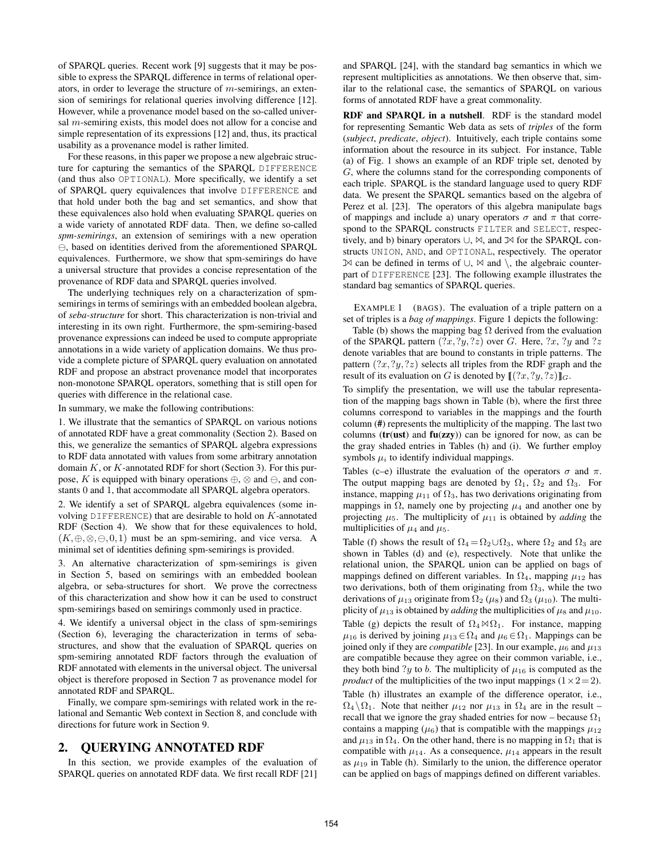of SPARQL queries. Recent work [9] suggests that it may be possible to express the SPARQL difference in terms of relational operators, in order to leverage the structure of m-semirings, an extension of semirings for relational queries involving difference [12]. However, while a provenance model based on the so-called universal m-semiring exists, this model does not allow for a concise and simple representation of its expressions [12] and, thus, its practical usability as a provenance model is rather limited.

For these reasons, in this paper we propose a new algebraic structure for capturing the semantics of the SPARQL DIFFERENCE (and thus also OPTIONAL). More specifically, we identify a set of SPARQL query equivalences that involve DIFFERENCE and that hold under both the bag and set semantics, and show that these equivalences also hold when evaluating SPARQL queries on a wide variety of annotated RDF data. Then, we define so-called *spm-semirings*, an extension of semirings with a new operation  $\ominus$ , based on identities derived from the aforementioned SPARQL equivalences. Furthermore, we show that spm-semirings do have a universal structure that provides a concise representation of the provenance of RDF data and SPARQL queries involved.

The underlying techniques rely on a characterization of spmsemirings in terms of semirings with an embedded boolean algebra, of *seba-structure* for short. This characterization is non-trivial and interesting in its own right. Furthermore, the spm-semiring-based provenance expressions can indeed be used to compute appropriate annotations in a wide variety of application domains. We thus provide a complete picture of SPARQL query evaluation on annotated RDF and propose an abstract provenance model that incorporates non-monotone SPARQL operators, something that is still open for queries with difference in the relational case.

In summary, we make the following contributions:

1. We illustrate that the semantics of SPARQL on various notions of annotated RDF have a great commonality (Section 2). Based on this, we generalize the semantics of SPARQL algebra expressions to RDF data annotated with values from some arbitrary annotation domain  $K$ , or  $K$ -annotated RDF for short (Section 3). For this purpose, K is equipped with binary operations  $\oplus$ ,  $\otimes$  and  $\ominus$ , and constants 0 and 1, that accommodate all SPARQL algebra operators.

2. We identify a set of SPARQL algebra equivalences (some involving DIFFERENCE) that are desirable to hold on  $K$ -annotated RDF (Section 4). We show that for these equivalences to hold,  $(K, \oplus, \otimes, \ominus, 0, 1)$  must be an spm-semiring, and vice versa. A minimal set of identities defining spm-semirings is provided.

3. An alternative characterization of spm-semirings is given in Section 5, based on semirings with an embedded boolean algebra, or seba-structures for short. We prove the correctness of this characterization and show how it can be used to construct spm-semirings based on semirings commonly used in practice.

4. We identify a universal object in the class of spm-semirings (Section 6), leveraging the characterization in terms of sebastructures, and show that the evaluation of SPARQL queries on spm-semiring annotated RDF factors through the evaluation of RDF annotated with elements in the universal object. The universal object is therefore proposed in Section 7 as provenance model for annotated RDF and SPARQL.

Finally, we compare spm-semirings with related work in the relational and Semantic Web context in Section 8, and conclude with directions for future work in Section 9.

## 2. QUERYING ANNOTATED RDF

In this section, we provide examples of the evaluation of SPARQL queries on annotated RDF data. We first recall RDF [21] and SPARQL [24], with the standard bag semantics in which we represent multiplicities as annotations. We then observe that, similar to the relational case, the semantics of SPARQL on various forms of annotated RDF have a great commonality.

RDF and SPARQL in a nutshell. RDF is the standard model for representing Semantic Web data as sets of *triples* of the form (*subject*, *predicate*, *object*). Intuitively, each triple contains some information about the resource in its subject. For instance, Table (a) of Fig. 1 shows an example of an RDF triple set, denoted by G, where the columns stand for the corresponding components of each triple. SPARQL is the standard language used to query RDF data. We present the SPARQL semantics based on the algebra of Perez et al. [23]. The operators of this algebra manipulate bags of mappings and include a) unary operators  $\sigma$  and  $\pi$  that correspond to the SPARQL constructs FILTER and SELECT, respectively, and b) binary operators ∪, ✶, and ✶ for the SPARQL constructs UNION, AND, and OPTIONAL, respectively. The operator ✶ can be defined in terms of ∪, ✶ and \, the algebraic counterpart of DIFFERENCE [23]. The following example illustrates the standard bag semantics of SPARQL queries.

EXAMPLE 1 (BAGS). The evaluation of a triple pattern on a set of triples is a *bag of mappings*. Figure 1 depicts the following:

Table (b) shows the mapping bag  $\Omega$  derived from the evaluation of the SPARQL pattern  $(?x, ?y, ?z)$  over G. Here,  $?x, ?y$  and  $?z$ denote variables that are bound to constants in triple patterns. The pattern  $(?x, ?y, ?z)$  selects all triples from the RDF graph and the result of its evaluation on G is denoted by  $\llbracket$   $(?x, ?y, ?z)\rrbracket_G$ .

To simplify the presentation, we will use the tabular representation of the mapping bags shown in Table (b), where the first three columns correspond to variables in the mappings and the fourth column (#) represents the multiplicity of the mapping. The last two columns ( $tr(ust)$  and  $fu(zzy)$ ) can be ignored for now, as can be the gray shaded entries in Tables (h) and (i). We further employ symbols  $\mu_i$  to identify individual mappings.

Tables (c–e) illustrate the evaluation of the operators  $\sigma$  and  $\pi$ . The output mapping bags are denoted by  $\Omega_1$ ,  $\Omega_2$  and  $\Omega_3$ . For instance, mapping  $\mu_{11}$  of  $\Omega_3$ , has two derivations originating from mappings in  $\Omega$ , namely one by projecting  $\mu_4$  and another one by projecting  $\mu_5$ . The multiplicity of  $\mu_{11}$  is obtained by *adding* the multiplicities of  $\mu_4$  and  $\mu_5$ .

Table (f) shows the result of  $\Omega_4 = \Omega_2 \cup \Omega_3$ , where  $\Omega_2$  and  $\Omega_3$  are shown in Tables (d) and (e), respectively. Note that unlike the relational union, the SPARQL union can be applied on bags of mappings defined on different variables. In  $\Omega_4$ , mapping  $\mu_{12}$  has two derivations, both of them originating from  $\Omega_3$ , while the two derivations of  $\mu_{13}$  originate from  $\Omega_2$  ( $\mu_8$ ) and  $\Omega_3$  ( $\mu_{10}$ ). The multiplicity of  $\mu_{13}$  is obtained by *adding* the multiplicities of  $\mu_8$  and  $\mu_{10}$ . Table (g) depicts the result of  $\Omega_4 \bowtie \Omega_1$ . For instance, mapping  $\mu_{16}$  is derived by joining  $\mu_{13} \in \Omega_4$  and  $\mu_6 \in \Omega_1$ . Mappings can be joined only if they are *compatible* [23]. In our example,  $\mu_6$  and  $\mu_{13}$ are compatible because they agree on their common variable, i.e., they both bind ?y to b. The multiplicity of  $\mu_{16}$  is computed as the *product* of the multiplicities of the two input mappings  $(1 \times 2=2)$ . Table (h) illustrates an example of the difference operator, i.e.,  $\Omega_4 \setminus \Omega_1$ . Note that neither  $\mu_{12}$  nor  $\mu_{13}$  in  $\Omega_4$  are in the result – recall that we ignore the gray shaded entries for now – because  $\Omega_1$ contains a mapping ( $\mu$ <sub>6</sub>) that is compatible with the mappings  $\mu$ <sub>12</sub>

and  $\mu_{13}$  in  $\Omega_4$ . On the other hand, there is no mapping in  $\Omega_1$  that is compatible with  $\mu_{14}$ . As a consequence,  $\mu_{14}$  appears in the result as  $\mu_{19}$  in Table (h). Similarly to the union, the difference operator can be applied on bags of mappings defined on different variables.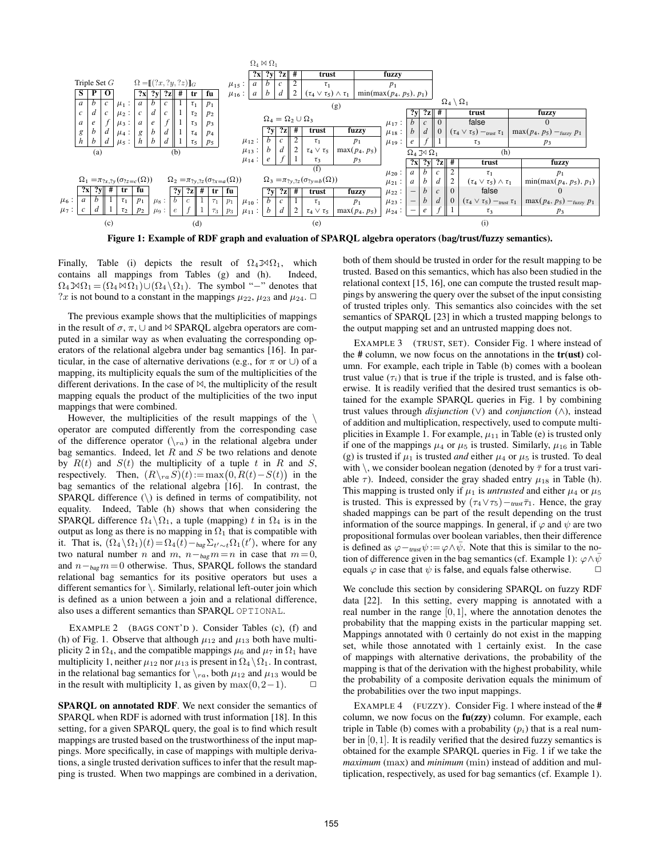

Figure 1: Example of RDF graph and evaluation of SPARQL algebra operators (bag/trust/fuzzy semantics).

Finally, Table (i) depicts the result of  $\Omega_4 \mathbb{N}\Omega_1$ , which contains all mappings from Tables (g) and (h). Indeed,  $\Omega_4 \mathbb{M} \Omega_1 = (\Omega_4 \mathbb{M} \Omega_1) \cup (\Omega_4 \backslash \Omega_1)$ . The symbol "-" denotes that ?x is not bound to a constant in the mappings  $\mu_{22}$ ,  $\mu_{23}$  and  $\mu_{24}$ .  $\Box$ 

The previous example shows that the multiplicities of mappings in the result of  $\sigma$ ,  $\pi$ ,  $\cup$  and  $\bowtie$  SPARQL algebra operators are computed in a similar way as when evaluating the corresponding operators of the relational algebra under bag semantics [16]. In particular, in the case of alternative derivations (e.g., for  $\pi$  or  $\cup$ ) of a mapping, its multiplicity equals the sum of the multiplicities of the different derivations. In the case of  $\bowtie$ , the multiplicity of the result mapping equals the product of the multiplicities of the two input mappings that were combined.

However, the multiplicities of the result mappings of the  $\setminus$ operator are computed differently from the corresponding case of the difference operator  $(\nabla_{ra})$  in the relational algebra under bag semantics. Indeed, let  $R$  and  $S$  be two relations and denote by  $R(t)$  and  $S(t)$  the multiplicity of a tuple t in R and S, respectively. Then,  $(R\setminus_{ra}S)(t) := \max(0, R(t) - S(t))$  in the bag semantics of the relational algebra [16]. In contrast, the SPAROL difference  $(\rangle)$  is defined in terms of compatibility, not equality. Indeed, Table (h) shows that when considering the SPARQL difference  $\Omega_4 \setminus \Omega_1$ , a tuple (mapping) t in  $\Omega_4$  is in the output as long as there is no mapping in  $\Omega_1$  that is compatible with it. That is,  $(\Omega_4 \setminus \Omega_1)(t) = \Omega_4(t) - \log \Sigma_{t' \sim t} \Omega_1(t')$ , where for any two natural number *n* and *m*,  $n - b a g m = n$  in case that  $m = 0$ , and  $n -_{\text{bag}} m = 0$  otherwise. Thus, SPARQL follows the standard relational bag semantics for its positive operators but uses a different semantics for \. Similarly, relational left-outer join which is defined as a union between a join and a relational difference, also uses a different semantics than SPARQL OPTIONAL.

EXAMPLE 2 (BAGS CONT'D). Consider Tables (c), (f) and (h) of Fig. 1. Observe that although  $\mu_{12}$  and  $\mu_{13}$  both have multiplicity 2 in  $\Omega_4$ , and the compatible mappings  $\mu_6$  and  $\mu_7$  in  $\Omega_1$  have multiplicity 1, neither  $\mu_{12}$  nor  $\mu_{13}$  is present in  $\Omega_4 \setminus \Omega_1$ . In contrast, in the relational bag semantics for  $\chi_{ra}$ , both  $\mu_{12}$  and  $\mu_{13}$  would be in the result with multiplicity 1, as given by  $max(0,2-1)$ .  $\Box$ 

SPARQL on annotated RDF. We next consider the semantics of SPARQL when RDF is adorned with trust information [18]. In this setting, for a given SPARQL query, the goal is to find which result mappings are trusted based on the trustworthiness of the input mappings. More specifically, in case of mappings with multiple derivations, a single trusted derivation suffices to infer that the result mapping is trusted. When two mappings are combined in a derivation,

both of them should be trusted in order for the result mapping to be trusted. Based on this semantics, which has also been studied in the relational context [15, 16], one can compute the trusted result mappings by answering the query over the subset of the input consisting of trusted triples only. This semantics also coincides with the set semantics of SPARQL [23] in which a trusted mapping belongs to the output mapping set and an untrusted mapping does not.

EXAMPLE 3 (TRUST, SET). Consider Fig. 1 where instead of the  $\#$  column, we now focus on the annotations in the  $tr(ust)$  column. For example, each triple in Table (b) comes with a boolean trust value  $(\tau_i)$  that is true if the triple is trusted, and is false otherwise. It is readily verified that the desired trust semantics is obtained for the example SPARQL queries in Fig. 1 by combining trust values through *disjunction* (∨) and *conjunction* (∧), instead of addition and multiplication, respectively, used to compute multiplicities in Example 1. For example,  $\mu_{11}$  in Table (e) is trusted only if one of the mappings  $\mu_4$  or  $\mu_5$  is trusted. Similarly,  $\mu_{16}$  in Table (g) is trusted if  $\mu_1$  is trusted *and* either  $\mu_4$  or  $\mu_5$  is trusted. To deal with \, we consider boolean negation (denoted by  $\bar{\tau}$  for a trust variable  $\tau$ ). Indeed, consider the gray shaded entry  $\mu_{18}$  in Table (h). This mapping is trusted only if  $\mu_1$  is *untrusted* and either  $\mu_4$  or  $\mu_5$ is trusted. This is expressed by  $(\tau_4 \vee \tau_5) -_{\text{trust}} \bar{\tau}_1$ . Hence, the gray shaded mappings can be part of the result depending on the trust information of the source mappings. In general, if  $\varphi$  and  $\psi$  are two propositional formulas over boolean variables, then their difference is defined as  $\varphi -_{\text{trust}} \psi := \varphi \wedge \bar{\psi}$ . Note that this is similar to the notion of difference given in the bag semantics (cf. Example 1):  $\varphi \land \bar{\psi}$ equals  $\varphi$  in case that  $\psi$  is false, and equals false otherwise.  $\Box$ 

We conclude this section by considering SPARQL on fuzzy RDF data [22]. In this setting, every mapping is annotated with a real number in the range  $[0,1]$ , where the annotation denotes the probability that the mapping exists in the particular mapping set. Mappings annotated with 0 certainly do not exist in the mapping set, while those annotated with 1 certainly exist. In the case of mappings with alternative derivations, the probability of the mapping is that of the derivation with the highest probability, while the probability of a composite derivation equals the minimum of the probabilities over the two input mappings.

EXAMPLE 4 (FUZZY). Consider Fig. 1 where instead of the # column, we now focus on the fu(zzy) column. For example, each triple in Table (b) comes with a probability  $(p<sub>i</sub>)$  that is a real number in [0,1]. It is readily verified that the desired fuzzy semantics is obtained for the example SPARQL queries in Fig. 1 if we take the *maximum* (max) and *minimum* (min) instead of addition and multiplication, respectively, as used for bag semantics (cf. Example 1).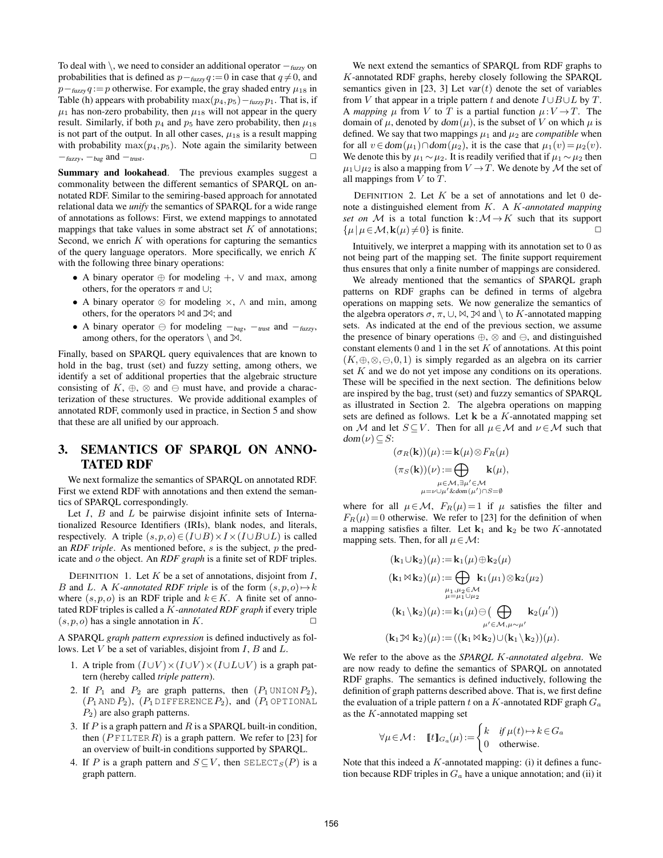To deal with  $\setminus$ , we need to consider an additional operator  $-<sub>fuzzy</sub>$  on probabilities that is defined as  $p-<sub>fuzzy</sub> q := 0$  in case that  $q \neq 0$ , and  $p$ −<sub>fuzzy</sub> q := p otherwise. For example, the gray shaded entry  $\mu_{18}$  in Table (h) appears with probability max $(p_4, p_5)$  –  $fuzzy p_1$ . That is, if  $\mu_1$  has non-zero probability, then  $\mu_{18}$  will not appear in the query result. Similarly, if both  $p_4$  and  $p_5$  have zero probability, then  $\mu_{18}$ is not part of the output. In all other cases,  $\mu_{18}$  is a result mapping with probability  $\max(p_4, p_5)$ . Note again the similarity between  $-\frac{f_{\text{UZZV}}}{\text{U}}$ ,  $-\frac{f_{\text{UZZV}}}{\text{U}}$ ,  $-\frac{f_{\text{UZZV}}}{\text{U}}$ 

Summary and lookahead. The previous examples suggest a commonality between the different semantics of SPARQL on annotated RDF. Similar to the semiring-based approach for annotated relational data we *unify* the semantics of SPARQL for a wide range of annotations as follows: First, we extend mappings to annotated mappings that take values in some abstract set  $K$  of annotations; Second, we enrich  $K$  with operations for capturing the semantics of the query language operators. More specifically, we enrich  $K$ with the following three binary operations:

- A binary operator  $oplus$  for modeling  $+$ ,  $\vee$  and max, among others, for the operators  $\pi$  and ∪;
- A binary operator  $\otimes$  for modeling  $\times$ ,  $\wedge$  and min, among others, for the operators  $\bowtie$  and  $\bowtie$ ; and
- A binary operator  $\ominus$  for modeling  $-$ bag,  $-$ trust and  $-$ fuzzy, among others, for the operators  $\setminus$  and  $\mathbb{X}$ .

Finally, based on SPARQL query equivalences that are known to hold in the bag, trust (set) and fuzzy setting, among others, we identify a set of additional properties that the algebraic structure consisting of  $K$ ,  $\oplus$ ,  $\otimes$  and  $\ominus$  must have, and provide a characterization of these structures. We provide additional examples of annotated RDF, commonly used in practice, in Section 5 and show that these are all unified by our approach.

## 3. SEMANTICS OF SPARQL ON ANNO-TATED RDF

We next formalize the semantics of SPARQL on annotated RDF. First we extend RDF with annotations and then extend the semantics of SPARQL correspondingly.

Let  $I$ ,  $B$  and  $L$  be pairwise disjoint infinite sets of Internationalized Resource Identifiers (IRIs), blank nodes, and literals, respectively. A triple  $(s, p, o) \in (I \cup B) \times I \times (I \cup B \cup L)$  is called an *RDF triple*. As mentioned before, s is the subject, p the predicate and o the object. An *RDF graph* is a finite set of RDF triples.

DEFINITION 1. Let  $K$  be a set of annotations, disjoint from  $I$ , B and L. A K-annotated RDF triple is of the form  $(s, p, o) \rightarrow k$ where  $(s, p, o)$  is an RDF triple and  $k \in K$ . A finite set of annotated RDF triples is called a K*-annotated RDF graph* if every triple  $(s, p, o)$  has a single annotation in K.

A SPARQL *graph pattern expression* is defined inductively as follows. Let  $V$  be a set of variables, disjoint from  $I, B$  and  $L$ .

- 1. A triple from  $(I \cup V) \times (I \cup V) \times (I \cup L \cup V)$  is a graph pattern (hereby called *triple pattern*).
- 2. If  $P_1$  and  $P_2$  are graph patterns, then  $(P_1 \text{UNION } P_2)$ ,  $(P_1 \text{ AND } P_2)$ ,  $(P_1 \text{ DIFFERENCE } P_2)$ , and  $(P_1 \text{ OPTIONAL})$  $P_2$ ) are also graph patterns.
- 3. If  $P$  is a graph pattern and  $R$  is a SPARQL built-in condition, then  $(P$  FILTER R) is a graph pattern. We refer to [23] for an overview of built-in conditions supported by SPARQL.
- 4. If P is a graph pattern and  $S \subseteq V$ , then  $SELECT_S(P)$  is a graph pattern.

We next extend the semantics of SPARQL from RDF graphs to K-annotated RDF graphs, hereby closely following the SPARQL semantics given in [23, 3] Let  $var(t)$  denote the set of variables from V that appear in a triple pattern t and denote  $I \cup B \cup L$  by T. A *mapping*  $\mu$  from V to T is a partial function  $\mu: V \to T$ . The domain of  $\mu$ , denoted by dom( $\mu$ ), is the subset of V on which  $\mu$  is defined. We say that two mappings  $\mu_1$  and  $\mu_2$  are *compatible* when for all  $v \in \text{dom}(\mu_1) \cap \text{dom}(\mu_2)$ , it is the case that  $\mu_1(v) = \mu_2(v)$ . We denote this by  $\mu_1 \sim \mu_2$ . It is readily verified that if  $\mu_1 \sim \mu_2$  then  $\mu_1 \cup \mu_2$  is also a mapping from  $V \to T$ . We denote by M the set of all mappings from  $V$  to  $T$ .

DEFINITION 2. Let  $K$  be a set of annotations and let 0 denote a distinguished element from K. A K*-annotated mapping set on* M is a total function  $\mathbf{k}: \mathcal{M} \to K$  such that its support  $\{\mu | \mu \in \mathcal{M}, \mathbf{k}(\mu) \neq 0\}$  is finite.

Intuitively, we interpret a mapping with its annotation set to 0 as not being part of the mapping set. The finite support requirement thus ensures that only a finite number of mappings are considered.

We already mentioned that the semantics of SPARQL graph patterns on RDF graphs can be defined in terms of algebra operations on mapping sets. We now generalize the semantics of the algebra operators  $\sigma$ ,  $\pi$ ,  $\cup$ ,  $\bowtie$ ,  $\mathbb{R}$  and  $\setminus$  to K-annotated mapping sets. As indicated at the end of the previous section, we assume the presence of binary operations  $\oplus$ ,  $\otimes$  and  $\ominus$ , and distinguished constant elements  $0$  and  $1$  in the set  $K$  of annotations. At this point  $(K, \oplus, \otimes, \ominus, 0, 1)$  is simply regarded as an algebra on its carrier set K and we do not yet impose any conditions on its operations. These will be specified in the next section. The definitions below are inspired by the bag, trust (set) and fuzzy semantics of SPARQL as illustrated in Section 2. The algebra operations on mapping sets are defined as follows. Let  $k$  be a  $K$ -annotated mapping set on M and let  $S \subseteq V$ . Then for all  $\mu \in \mathcal{M}$  and  $\nu \in \mathcal{M}$  such that  $dom(\nu) \subseteq S$ :

$$
(\sigma_R(\mathbf{k}))(\mu) := \mathbf{k}(\mu) \otimes F_R(\mu)
$$

$$
(\pi_S(\mathbf{k}))(\nu) := \bigoplus_{\mu \in \mathcal{M}, \exists \mu' \in \mathcal{M}} \mathbf{k}(\mu),
$$

$$
\mu = \nu \cup \mu' \& \text{dom}(\mu') \cap S = \emptyset
$$

where for all  $\mu \in \mathcal{M}$ ,  $F_R(\mu) = 1$  if  $\mu$  satisfies the filter and  $F_R(\mu) = 0$  otherwise. We refer to [23] for the definition of when a mapping satisfies a filter. Let  $k_1$  and  $k_2$  be two K-annotated mapping sets. Then, for all  $\mu \in \mathcal{M}$ :

$$
(\mathbf{k}_1 \cup \mathbf{k}_2)(\mu) := \mathbf{k}_1(\mu) \oplus \mathbf{k}_2(\mu)
$$
  
\n
$$
(\mathbf{k}_1 \boxtimes \mathbf{k}_2)(\mu) := \bigoplus_{\substack{\mu_1, \mu_2 \in \mathcal{M} \\ \mu = \mu_1 \cup \mu_2}} \mathbf{k}_1(\mu_1) \otimes \mathbf{k}_2(\mu_2)
$$
  
\n
$$
(\mathbf{k}_1 \backslash \mathbf{k}_2)(\mu) := \mathbf{k}_1(\mu) \ominus \Big(\bigoplus_{\substack{\mu' \in \mathcal{M}, \mu \sim \mu' \\ \mu' \in \mathcal{M}, \mu \sim \mu'}} \mathbf{k}_2(\mu')\Big)
$$
  
\n
$$
(\mathbf{k}_1 \boxtimes \mathbf{k}_2)(\mu) := ((\mathbf{k}_1 \boxtimes \mathbf{k}_2) \cup (\mathbf{k}_1 \backslash \mathbf{k}_2))(\mu).
$$

We refer to the above as the *SPARQL* K*-annotated algebra*. We are now ready to define the semantics of SPARQL on annotated RDF graphs. The semantics is defined inductively, following the definition of graph patterns described above. That is, we first define the evaluation of a triple pattern t on a K-annotated RDF graph  $G_a$ as the  $K$ -annotated mapping set

$$
\forall \mu \in \mathcal{M}: \quad \llbracket t \rrbracket_{G_a}(\mu) := \begin{cases} k & \text{if } \mu(t) \mapsto k \in G_a \\ 0 & \text{otherwise.} \end{cases}
$$

Note that this indeed a  $K$ -annotated mapping: (i) it defines a function because RDF triples in  $G_a$  have a unique annotation; and (ii) it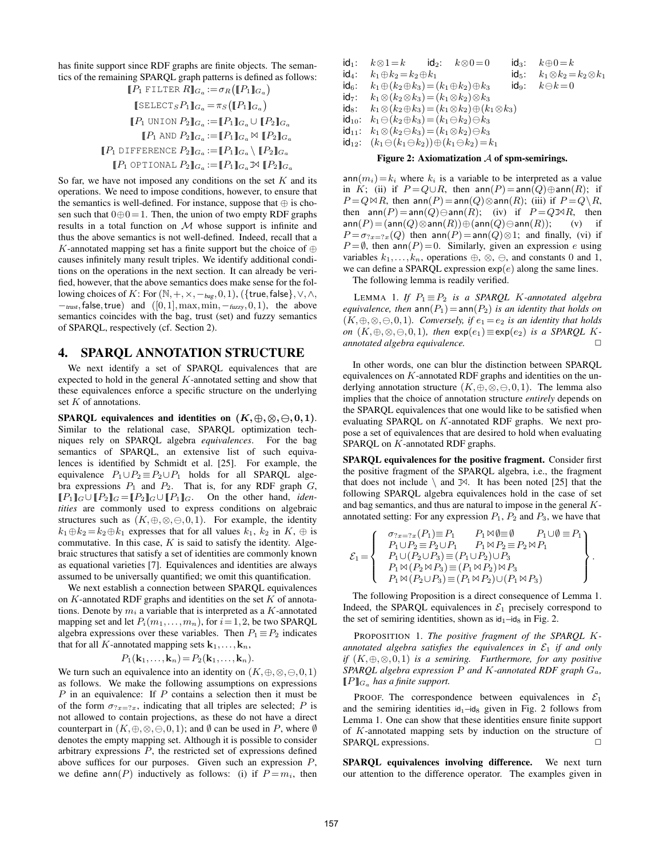has finite support since RDF graphs are finite objects. The semantics of the remaining SPARQL graph patterns is defined as follows:  $[LD]$  FILTER  $D$ ]

$$
[P_1 \text{ Filter } R]_{G_a} := \sigma_R ([P_1]_{G_a})
$$
  
\n
$$
[\text{SELECT }_S P_1]_{G_a} = \pi_S ([P_1]_{G_a})
$$
  
\n
$$
[P_1 \text{ UNION } P_2]_{G_a} := [P_1]_{G_a} \cup [P_2]_{G_a}
$$
  
\n
$$
[P_1 \text{ AND } P_2]_{G_a} := [P_1]_{G_a} \bowtie [P_2]_{G_a}
$$
  
\n
$$
[P_1 \text{ DIFFERENCE } P_2]_{G_a} := [P_1]_{G_a} \vee [P_2]_{G_a}
$$
  
\n
$$
[P_1 \text{ OPTIONAL } P_2]_{G_a} := [P_1]_{G_a} \bowtie [P_2]_{G_a}
$$

So far, we have not imposed any conditions on the set  $K$  and its operations. We need to impose conditions, however, to ensure that the semantics is well-defined. For instance, suppose that  $\oplus$  is chosen such that  $0 \oplus 0 = 1$ . Then, the union of two empty RDF graphs results in a total function on  $M$  whose support is infinite and thus the above semantics is not well-defined. Indeed, recall that a K-annotated mapping set has a finite support but the choice of  $oplus$ causes infinitely many result triples. We identify additional conditions on the operations in the next section. It can already be verified, however, that the above semantics does make sense for the following choices of K: For  $(\mathbb{N}, +, \times, -_{\text{bag}}, 0, 1)$ ,  $({\{\text{true}, \text{false}\}}, \vee, \wedge,$  $-<sub>trust</sub>$ , false, true) and  $([0,1], \max, \min, -<sub>fuzzy</sub>, 0, 1)$ , the above semantics coincides with the bag, trust (set) and fuzzy semantics of SPARQL, respectively (cf. Section 2).

## 4. SPARQL ANNOTATION STRUCTURE

We next identify a set of SPARQL equivalences that are expected to hold in the general  $K$ -annotated setting and show that these equivalences enforce a specific structure on the underlying set  $K$  of annotations.

SPARQL equivalences and identities on  $(K, \oplus, \otimes, \ominus, 0, 1)$ . Similar to the relational case, SPARQL optimization techniques rely on SPARQL algebra *equivalences*. For the bag semantics of SPARQL, an extensive list of such equivalences is identified by Schmidt et al. [25]. For example, the equivalence  $P_1 \cup P_2 \equiv P_2 \cup P_1$  holds for all SPARQL algebra expressions  $P_1$  and  $P_2$ . That is, for any RDF graph  $G$ ,  $[P_1]_G \cup [P_2]_G = [P_2]_G \cup [P_1]_G$ . On the other hand, *identities* are commonly used to express conditions on algebraic structures such as  $(K, \oplus, \otimes, \ominus, 0, 1)$ . For example, the identity  $k_1 \oplus k_2 = k_2 \oplus k_1$  expresses that for all values  $k_1$ ,  $k_2$  in  $K$ ,  $\oplus$  is commutative. In this case,  $K$  is said to satisfy the identity. Algebraic structures that satisfy a set of identities are commonly known as equational varieties [7]. Equivalences and identities are always assumed to be universally quantified; we omit this quantification.

We next establish a connection between SPARQL equivalences on  $K$ -annotated RDF graphs and identities on the set  $K$  of annotations. Denote by  $m_i$  a variable that is interpreted as a K-annotated mapping set and let  $P_i(m_1,...,m_n)$ , for  $i = 1,2$ , be two SPARQL algebra expressions over these variables. Then  $P_1 \equiv P_2$  indicates that for all K-annotated mapping sets  $\mathbf{k}_1,\ldots,\mathbf{k}_n$ ,

$$
P_1(\mathbf{k}_1,\ldots,\mathbf{k}_n)=P_2(\mathbf{k}_1,\ldots,\mathbf{k}_n).
$$

We turn such an equivalence into an identity on  $(K, \oplus, \otimes, \ominus, 0, 1)$ as follows. We make the following assumptions on expressions P in an equivalence: If P contains a selection then it must be of the form  $\sigma_{2x=2x}$ , indicating that all triples are selected; P is not allowed to contain projections, as these do not have a direct counterpart in  $(K, \oplus, \otimes, \ominus, 0, 1)$ ; and  $\emptyset$  can be used in P, where  $\emptyset$ denotes the empty mapping set. Although it is possible to consider arbitrary expressions  $P$ , the restricted set of expressions defined above suffices for our purposes. Given such an expression P, we define ann(P) inductively as follows: (i) if  $P = m_i$ , then

$$
\begin{array}{llllll} \mathsf{id}_1\colon & k \otimes 1 = k & \mathsf{id}_2\colon & k \otimes 0 = 0 & \mathsf{id}_3\colon & k \oplus 0 = k \\ \mathsf{id}_4\colon & k_1 \oplus k_2 = k_2 \oplus k_1 & \mathsf{id}_5\colon & k_1 \otimes k_2 = k_2 \otimes k_1 \\ \mathsf{id}_6\colon & k_1 \oplus (k_2 \oplus k_3) = (k_1 \oplus k_2) \oplus k_3 & \mathsf{id}_9\colon & k \ominus k = 0 \\ \mathsf{id}_7\colon & k_1 \otimes (k_2 \otimes k_3) = (k_1 \otimes k_2) \otimes k_3 \\ \mathsf{id}_8\colon & k_1 \otimes (k_2 \oplus k_3) = (k_1 \otimes k_2) \oplus (k_1 \otimes k_3) \\ \mathsf{id}_{10}\colon & k_1 \ominus (k_2 \oplus k_3) = (k_1 \ominus k_2) \ominus k_3 \\ \mathsf{id}_{11}\colon & k_1 \otimes (k_2 \ominus k_3) = (k_1 \otimes k_2) \ominus k_3 \end{array}
$$

- 
- $id_{12}: (k_1 \ominus (k_1 \ominus k_2)) \oplus (k_1 \ominus k_2) = k_1$

#### Figure 2: Axiomatization  $A$  of spm-semirings.

 $ann(m_i)=k_i$  where  $k_i$  is a variable to be interpreted as a value in K; (ii) if  $P = Q \cup R$ , then  $ann(P) = ann(Q) \oplus ann(R)$ ; if  $P = Q \bowtie R$ , then ann $(P) =$ ann $(Q) \otimes$ ann $(R)$ ; (iii) if  $P = Q \backslash R$ , then  $ann(P) = ann(Q) \ominus ann(R)$ ; (iv) if  $P = Q \mathbb{R}R$ , then ann $(P)$  = (ann $(Q)$ ⊗ann $(R)$ ) $\oplus$  (ann $(Q)$  $\ominus$ ann $(R)$ ); (v) if  $P = \sigma_{2x=2x}(Q)$  then  $ann(P) = ann(Q) \otimes 1$ ; and finally, (vi) if  $P = \emptyset$ , then ann $(P) = 0$ . Similarly, given an expression e using variables  $k_1, \ldots, k_n$ , operations  $\oplus$ ,  $\otimes$ ,  $\ominus$ , and constants 0 and 1, we can define a SPARQL expression  $exp(e)$  along the same lines.

The following lemma is readily verified.

LEMMA 1. *If*  $P_1 \equiv P_2$  *is a SPARQL K-annotated algebra equivalence, then*  $ann(P_1) = ann(P_2)$  *is an identity that holds on*  $(K, \oplus, \otimes, \ominus, 0, 1)$ *. Conversely, if*  $e_1 = e_2$  *is an identity that holds on*  $(K, \oplus, \otimes, \ominus, 0, 1)$ *, then*  $exp(e_1) \equiv exp(e_2)$  *is a SPARQL Kannotated algebra equivalence.* □

In other words, one can blur the distinction between SPARQL equivalences on  $K$ -annotated RDF graphs and identities on the underlying annotation structure  $(K, \oplus, \otimes, \ominus, 0, 1)$ . The lemma also implies that the choice of annotation structure *entirely* depends on the SPARQL equivalences that one would like to be satisfied when evaluating SPARQL on K-annotated RDF graphs. We next propose a set of equivalences that are desired to hold when evaluating SPARQL on K-annotated RDF graphs.

SPARQL equivalences for the positive fragment. Consider first the positive fragment of the SPARQL algebra, i.e., the fragment that does not include  $\setminus$  and  $\mathbb{X}$ . It has been noted [25] that the following SPARQL algebra equivalences hold in the case of set and bag semantics, and thus are natural to impose in the general Kannotated setting: For any expression  $P_1$ ,  $P_2$  and  $P_3$ , we have that

$$
\mathcal{E}_1 = \left\{\begin{array}{c}\n\sigma_{?x=?x}(P_1) \equiv P_1 \quad P_1 \bowtie \emptyset \equiv \emptyset \quad P_1 \cup \emptyset \equiv P_1 \\
P_1 \cup P_2 \equiv P_2 \cup P_1 \quad P_1 \bowtie P_2 \equiv P_2 \bowtie P_1 \\
P_1 \cup (P_2 \cup P_3) \equiv (P_1 \cup P_2) \cup P_3 \\
P_1 \bowtie (P_2 \bowtie P_3) \equiv (P_1 \bowtie P_2) \bowtie P_3 \\
P_1 \bowtie (P_2 \cup P_3) \equiv (P_1 \bowtie P_2) \cup (P_1 \bowtie P_3)\n\end{array}\right\}.
$$

The following Proposition is a direct consequence of Lemma 1. Indeed, the SPARQL equivalences in  $\mathcal{E}_1$  precisely correspond to the set of semiring identities, shown as  $id_1 - id_8$  in Fig. 2.

PROPOSITION 1. *The positive fragment of the SPARQL* K*annotated algebra satisfies the equivalences in*  $\mathcal{E}_1$  *if and only if* (K,⊕,⊗,0,1) *is a semiring. Furthermore, for any positive SPARQL algebra expression* P *and* K*-annotated RDF graph* Ga*,*  $\llbracket P \rrbracket_{G_a}$  *has a finite support.* 

PROOF. The correspondence between equivalences in  $\mathcal{E}_1$ and the semiring identities  $id_1 - id_8$  given in Fig. 2 follows from Lemma 1. One can show that these identities ensure finite support of K-annotated mapping sets by induction on the structure of SPARQL expressions.

SPARQL equivalences involving difference. We next turn our attention to the difference operator. The examples given in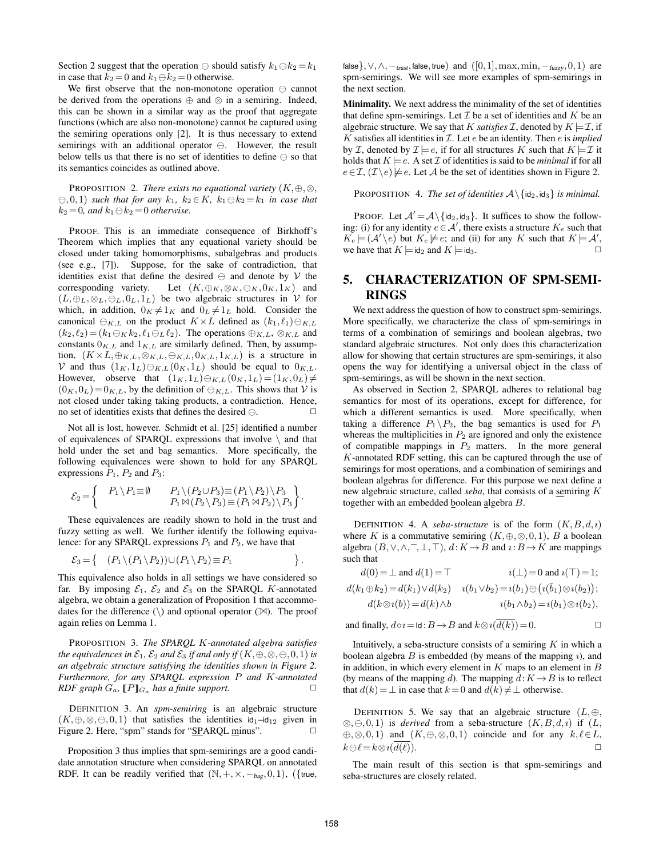Section 2 suggest that the operation  $\ominus$  should satisfy  $k_1 \ominus k_2 = k_1$ in case that  $k_2 = 0$  and  $k_1 \ominus k_2 = 0$  otherwise.

We first observe that the non-monotone operation  $\ominus$  cannot be derived from the operations  $oplus$  and  $\otimes$  in a semiring. Indeed, this can be shown in a similar way as the proof that aggregate functions (which are also non-monotone) cannot be captured using the semiring operations only [2]. It is thus necessary to extend semirings with an additional operator  $\ominus$ . However, the result below tells us that there is no set of identities to define  $\ominus$  so that its semantics coincides as outlined above.

PROPOSITION 2. *There exists no equational variety*  $(K, \oplus, \otimes,$  $(0,0,1)$  *such that for any*  $k_1$ ,  $k_2 \in K$ ,  $k_1 \oplus k_2 = k_1$  *in case that*  $k_2 = 0$ *, and*  $k_1 \ominus k_2 = 0$  *otherwise.* 

PROOF. This is an immediate consequence of Birkhoff's Theorem which implies that any equational variety should be closed under taking homomorphisms, subalgebras and products (see e.g., [7]). Suppose, for the sake of contradiction, that identities exist that define the desired  $\ominus$  and denote by V the corresponding variety. Let  $(K, \oplus_K, \otimes_K, \ominus_K, 0_K, 1_K)$  and  $(L, \oplus_L, \otimes_L, \ominus_L, 0_L, 1_L)$  be two algebraic structures in  $V$  for which, in addition,  $0_K \neq 1_K$  and  $0_L \neq 1_L$  hold. Consider the canonical  $\ominus_{K,L}$  on the product  $K \times L$  defined as  $(k_1, \ell_1) \ominus_{K,L}$  $(k_2, \ell_2) = (k_1 \ominus_K k_2, \ell_1 \ominus_L \ell_2).$  The operations  $\oplus_{K,L}, \otimes_{K,L}$  and constants  $0_{K,L}$  and  $1_{K,L}$  are similarly defined. Then, by assumption,  $(K \times L, \oplus_{K,L}, \otimes_{K,L}, \ominus_{K,L}, 0_{K,L}, 1_{K,L})$  is a structure in V and thus  $(1_K, 1_L) \ominus_{K,L} (0_K, 1_L)$  should be equal to  $0_{K,L}$ . However, observe that  $(1_K, 1_L) \ominus_{K,L} (0_K, 1_L) = (1_K, 0_L) \neq$  $(0_K, 0_L) = 0_{K,L}$ , by the definition of  $\ominus_{K,L}$ . This shows that V is not closed under taking taking products, a contradiction. Hence, no set of identities exists that defines the desired  $\ominus$ .

Not all is lost, however. Schmidt et al. [25] identified a number of equivalences of SPARQL expressions that involve  $\setminus$  and that hold under the set and bag semantics. More specifically, the following equivalences were shown to hold for any SPARQL expressions  $P_1$ ,  $P_2$  and  $P_3$ :

$$
\mathcal{E}_2 = \begin{Bmatrix} P_1 \setminus P_1 \equiv \emptyset & P_1 \setminus (P_2 \cup P_3) \equiv (P_1 \setminus P_2) \setminus P_3 \\ P_1 \bowtie (P_2 \setminus P_3) \equiv (P_1 \bowtie P_2) \setminus P_3 \end{Bmatrix}.
$$

These equivalences are readily shown to hold in the trust and fuzzy setting as well. We further identify the following equivalence: for any SPARQL expressions  $P_1$  and  $P_2$ , we have that

$$
\mathcal{E}_3 = \left\{ \begin{array}{c} (P_1 \setminus (P_1 \setminus P_2)) \cup (P_1 \setminus P_2) \equiv P_1 \\ \end{array} \right\}.
$$

This equivalence also holds in all settings we have considered so far. By imposing  $\mathcal{E}_1$ ,  $\mathcal{E}_2$  and  $\mathcal{E}_3$  on the SPARQL K-annotated algebra, we obtain a generalization of Proposition 1 that accommodates for the difference  $(\rangle)$  and optional operator  $(\mathbb{X})$ . The proof again relies on Lemma 1.

PROPOSITION 3. *The SPARQL* K*-annotated algebra satisfies the equivalences in*  $\mathcal{E}_1$ ,  $\mathcal{E}_2$  *and*  $\mathcal{E}_3$  *if and only if*  $(K, \oplus, \otimes, \ominus, 0, 1)$  *is an algebraic structure satisfying the identities shown in Figure 2. Furthermore, for any SPARQL expression* P *and* K*-annotated RDF graph*  $G_a$ ,  $[P]_{G_a}$  *has a finite support.*  $\Box$ 

DEFINITION 3. An *spm-semiring* is an algebraic structure  $(K, \oplus, \otimes, \ominus, 0, 1)$  that satisfies the identities  $id_1 - id_{12}$  given in Figure 2. Here, "spm" stands for " $SPARCL$  minus".  $\Box$ 

Proposition 3 thus implies that spm-semirings are a good candidate annotation structure when considering SPARQL on annotated RDF. It can be readily verified that  $(\mathbb{N}, +, \times, -_{\text{bag}}, 0, 1)$ , ({true, false},  $\vee, \wedge, -_{\text{trust}}$ , false, true) and  $([0,1], \max, \min, -_{\text{fuzzy}}, 0, 1)$  are spm-semirings. We will see more examples of spm-semirings in the next section.

Minimality. We next address the minimality of the set of identities that define spm-semirings. Let  $\mathcal I$  be a set of identities and  $K$  be an algebraic structure. We say that K *satisfies*  $\mathcal{I}$ , denoted by  $K \models \mathcal{I}$ , if  $K$  satisfies all identities in  $I$ . Let  $e$  be an identity. Then  $e$  is *implied* by *I*, denoted by  $\mathcal{I} \models e$ , if for all structures *K* such that  $K \models \mathcal{I}$  it holds that  $K \models e$ . A set  $\mathcal I$  of identities is said to be *minimal* if for all  $e \in \mathcal{I}, (\mathcal{I} \setminus e) \not\models e$ . Let A be the set of identities shown in Figure 2.

PROPOSITION 4. *The set of identities*  $A \setminus \{id_2, id_3\}$  *is minimal.* 

PROOF. Let  $A' = A \setminus \{id_2, id_3\}$ . It suffices to show the following: (i) for any identity  $e \in A'$ , there exists a structure  $K_e$  such that  $K_e \models (\mathcal{A}' \setminus e)$  but  $K_e \not\models e$ ; and (ii) for any K such that  $K \models \mathcal{A}'$ , we have that  $K \models id_2$  and  $K \models id_3$ .

# 5. CHARACTERIZATION OF SPM-SEMI-RINGS

We next address the question of how to construct spm-semirings. More specifically, we characterize the class of spm-semirings in terms of a combination of semirings and boolean algebras, two standard algebraic structures. Not only does this characterization allow for showing that certain structures are spm-semirings, it also opens the way for identifying a universal object in the class of spm-semirings, as will be shown in the next section.

As observed in Section 2, SPARQL adheres to relational bag semantics for most of its operations, except for difference, for which a different semantics is used. More specifically, when taking a difference  $P_1 \backslash P_2$ , the bag semantics is used for  $P_1$ whereas the multiplicities in  $P_2$  are ignored and only the existence of compatible mappings in  $P_2$  matters. In the more general K-annotated RDF setting, this can be captured through the use of semirings for most operations, and a combination of semirings and boolean algebras for difference. For this purpose we next define a new algebraic structure, called *seba*, that consists of a semiring K together with an embedded boolean algebra B.

DEFINITION 4. A *seba-structure* is of the form  $(K, B, d, \iota)$ where K is a commutative semiring  $(K, \oplus, \otimes, 0, 1)$ , B a boolean algebra  $(B, \vee, \wedge, \overline{\phantom{a}}, \bot, \top), d:K \to B$  and  $\iota: B \to K$  are mappings such that

| $i(\perp) = 0$ and $i(\perp) = 1$ ;                              | $d(0) = \perp$ and $d(1) = \top$         |
|------------------------------------------------------------------|------------------------------------------|
| $i(b_1 \vee b_2) = i(b_1) \oplus (i(\bar{b}_1) \otimes i(b_2));$ | $d(k_1 \oplus k_2) = d(k_1) \vee d(k_2)$ |
| $i(b_1 \wedge b_2) = i(b_1) \otimes i(b_2),$                     | $d(k\otimes i(b))=d(k)\wedge b$          |

and finally, 
$$
d \circ i = \text{Id} : B \to B
$$
 and  $k \otimes i(d(k)) = 0$ .

Intuitively, a seba-structure consists of a semiring  $K$  in which a boolean algebra  $B$  is embedded (by means of the mapping  $\imath$ ), and in addition, in which every element in  $K$  maps to an element in  $B$ (by means of the mapping d). The mapping  $d: K \to B$  is to reflect that  $d(k) = \perp$  in case that  $k = 0$  and  $d(k) \neq \perp$  otherwise.

DEFINITION 5. We say that an algebraic structure  $(L, \oplus,$  $\otimes$ ,  $\ominus$ , 0, 1) is *derived* from a seba-structure  $(K, B, d, \iota)$  if  $(L, \iota)$  $\oplus, \otimes, 0, 1$  and  $(K, \oplus, \otimes, 0, 1)$  coincide and for any  $k, \ell \in L$ ,  $k\ominus\ell=k\otimes i(d(\ell)).$ 

The main result of this section is that spm-semirings and seba-structures are closely related.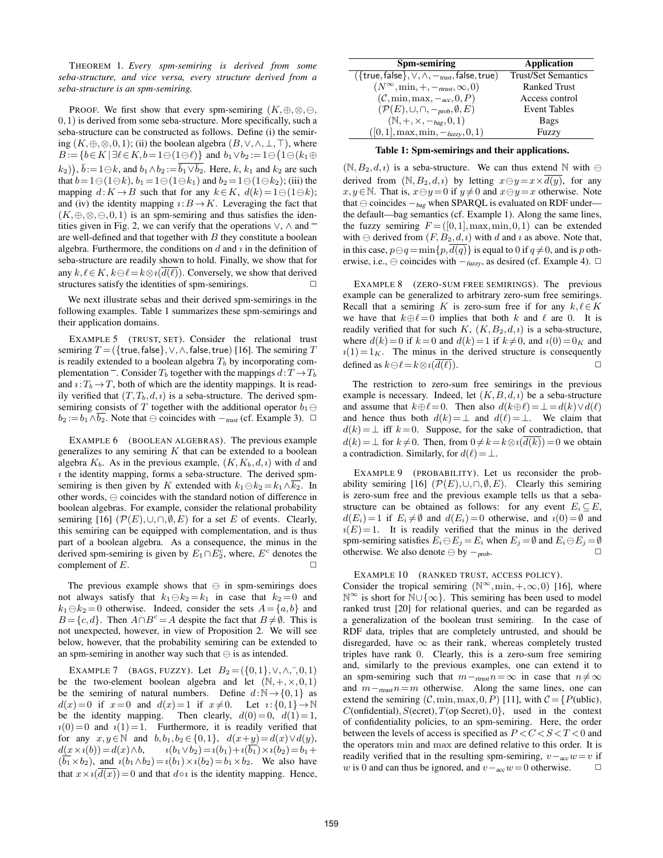THEOREM 1. *Every spm-semiring is derived from some seba-structure, and vice versa, every structure derived from a seba-structure is an spm-semiring.*

PROOF. We first show that every spm-semiring  $(K, \oplus, \otimes, \ominus, \oplus, \otimes)$ 0,1) is derived from some seba-structure. More specifically, such a seba-structure can be constructed as follows. Define (i) the semiring  $(K, \oplus, \otimes, 0, 1)$ ; (ii) the boolean algebra  $(B, \vee, \wedge, \perp, \top)$ , where  $B := \{b \in K \mid \exists \ell \in K, b = 1 \ominus (1 \ominus \ell)\}\$  and  $b_1 \vee b_2 := 1 \ominus (1 \ominus (k_1 \oplus$  $(k_2)$ ),  $\bar{b} := 1 \ominus k$ , and  $b_1 \wedge b_2 := \overline{\overline{b}_1 \vee \overline{b}_2}$ . Here,  $k, k_1$  and  $k_2$  are such that  $b = 1 \ominus (1 \ominus k)$ ,  $b_1 = 1 \ominus (1 \ominus k_1)$  and  $b_2 = 1 \ominus (1 \ominus k_2)$ ; (iii) the mapping  $d: K \to B$  such that for any  $k \in K$ ,  $d(k) = 1 \oplus (1 \oplus k)$ ; and (iv) the identity mapping  $\iota: B \to K$ . Leveraging the fact that  $(K, \oplus, \otimes, \ominus, 0, 1)$  is an spm-semiring and thus satisfies the identities given in Fig. 2, we can verify that the operations  $\vee$ ,  $\wedge$  and  $\overline{\phantom{a}}$ are well-defined and that together with  $B$  they constitute a boolean algebra. Furthermore, the conditions on  $d$  and  $i$  in the definition of seba-structure are readily shown to hold. Finally, we show that for any  $k, \ell \in K$ ,  $k \ominus \ell = k \otimes \iota(d(\ell))$ . Conversely, we show that derived structures satisfy the identities of spm-semirings.

We next illustrate sebas and their derived spm-semirings in the following examples. Table 1 summarizes these spm-semirings and their application domains.

EXAMPLE 5 (TRUST, SET). Consider the relational trust semiring  $T = (\{true, false\}, \vee, \wedge, false, true)$  [16]. The semiring  $T$ is readily extended to a boolean algebra  $T<sub>b</sub>$  by incorporating complementation  $\overline{\phantom{a}}$ . Consider  $T_b$  together with the mappings  $d: T \rightarrow T_b$ and  $\iota: T_b \to T$ , both of which are the identity mappings. It is readily verified that  $(T, T_b, d, i)$  is a seba-structure. The derived spmsemiring consists of T together with the additional operator  $b_1 \ominus$  $b_2 := b_1 \wedge \overline{b_2}$ . Note that  $\ominus$  coincides with  $-$ <sub>trust</sub> (cf. Example 3).  $\Box$ 

EXAMPLE 6 (BOOLEAN ALGEBRAS). The previous example generalizes to any semiring  $K$  that can be extended to a boolean algebra  $K_b$ . As in the previous example,  $(K, K_b, d, \iota)$  with d and  $i$  the identity mapping, forms a seba-structure. The derived spmsemiring is then given by K extended with  $k_1 \ominus k_2 = k_1 \wedge k_2$ . In other words,  $\ominus$  coincides with the standard notion of difference in boolean algebras. For example, consider the relational probability semiring [16]  $(\mathcal{P}(E), \cup, \cap, \emptyset, E)$  for a set E of events. Clearly, this semiring can be equipped with complementation, and is thus part of a boolean algebra. As a consequence, the minus in the derived spm-semiring is given by  $E_1 \cap E_2^c$ , where,  $E^c$  denotes the complement of  $E$ .

The previous example shows that  $\Theta$  in spm-semirings does not always satisfy that  $k_1 \ominus k_2 = k_1$  in case that  $k_2 = 0$  and  $k_1 \ominus k_2 = 0$  otherwise. Indeed, consider the sets  $A = \{a, b\}$  and  $B = \{c, d\}$ . Then  $A \cap B^c = A$  despite the fact that  $B \neq \emptyset$ . This is not unexpected, however, in view of Proposition 2. We will see below, however, that the probability semiring can be extended to an spm-semiring in another way such that  $\ominus$  is as intended.

EXAMPLE 7 (BAGS, FUZZY). Let  $B_2 = (\{0,1\}, \vee, \wedge, \overline{\phantom{0}}, 0, 1)$ be the two-element boolean algebra and let  $(N, +, \times, 0, 1)$ be the semiring of natural numbers. Define  $d:\mathbb{N}\to\{0,1\}$  as  $d(x)=0$  if  $x=0$  and  $d(x)=1$  if  $x\neq0$ . Let  $i:\{0,1\}\rightarrow\mathbb{N}$ be the identity mapping. Then clearly,  $d(0)=0$ ,  $d(1)=1$ ,  $i(0)=0$  and  $i(1)=1$ . Furthermore, it is readily verified that for any  $x, y \in \mathbb{N}$  and  $b, b_1, b_2 \in \{0, 1\}$ ,  $d(x+y) = d(x) \vee d(y)$ ,  $d(x \times i(b)) = d(x) \wedge b,$   $i(b_1 \vee b_2) = i(b_1) + i(\overline{b_1}) \times i(b_2) = b_1 + b_2$  $(\overline{b_1}\times b_2)$ , and  $\iota(b_1\wedge b_2)=\iota(b_1)\times \iota(b_2)=b_1\times b_2$ . We also have that  $x \times i(\overline{d(x)}) = 0$  and that  $d \circ i$  is the identity mapping. Hence,

| Spm-semiring                                                       | Application                |
|--------------------------------------------------------------------|----------------------------|
|                                                                    |                            |
| $({$ {true, false}, $\vee, \wedge, -_{\text{trust}},$ false, true) | <b>Trust/Set Semantics</b> |
| $(N^{\infty}, \min, +, -_{\text{trust}}, \infty, 0)$               | <b>Ranked Trust</b>        |
| $(C, \min, \max, -acc, 0, P)$                                      | Access control             |
| $(\mathcal{P}(E), \cup, \cap, -\text{prob}, \emptyset, E)$         | <b>Event Tables</b>        |
| $(\mathbb{N}, +, \times, -_{bag}, 0, 1)$                           | Bags                       |
| $([0, 1], \max, \min, -_{fuzzy}, 0, 1)$                            | Fuzzy                      |

Table 1: Spm-semirings and their applications.

 $(N, B_2, d, i)$  is a seba-structure. We can thus extend N with  $\ominus$ derived from  $(N, B_2, d, \iota)$  by letting  $x \ominus y = x \times d(y)$ , for any  $x, y \in \mathbb{N}$ . That is,  $x \ominus y = 0$  if  $y \neq 0$  and  $x \ominus y = x$  otherwise. Note that  $\ominus$  coincides  $-<sub>bag</sub>$  when SPARQL is evaluated on RDF under the default—bag semantics (cf. Example 1). Along the same lines, the fuzzy semiring  $F = ([0,1], \text{max}, \text{min},0,1)$  can be extended with  $\ominus$  derived from  $(F, B_2, d, \iota)$  with d and  $\iota$  as above. Note that, in this case,  $p \ominus q = \min\{p, \overline{d(q)}\}$  is equal to 0 if  $q \neq 0$ , and is p otherwise, i.e.,  $\ominus$  coincides with  $-$ <sub>fuzzy</sub>, as desired (cf. Example 4).  $\Box$ 

EXAMPLE 8 (ZERO-SUM FREE SEMIRINGS). The previous example can be generalized to arbitrary zero-sum free semirings. Recall that a semiring K is zero-sum free if for any  $k, \ell \in K$ we have that  $k \oplus \ell = 0$  implies that both k and  $\ell$  are 0. It is readily verified that for such K,  $(K, B_2, d, \iota)$  is a seba-structure, where  $d(k)=0$  if  $k=0$  and  $d(k)=1$  if  $k\neq 0$ , and  $i(0)=0<sub>K</sub>$  and  $i(1)= 1<sub>K</sub>$ . The minus in the derived structure is consequently defined as  $k \ominus \ell = k \otimes i(\overline{d(\ell)})$ .

The restriction to zero-sum free semirings in the previous example is necessary. Indeed, let  $(K, B, d, \iota)$  be a seba-structure and assume that  $k\oplus \ell = 0$ . Then also  $d(k\oplus \ell)=\bot=d(k)\vee d(\ell)$ and hence thus both  $d(k) = \perp$  and  $d(\ell) = \perp$ . We claim that  $d(k) = \perp$  iff  $k = 0$ . Suppose, for the sake of contradiction, that  $d(k) = \perp$  for  $k \neq 0$ . Then, from  $0 \neq k = k \otimes i(\overline{d(k)}) = 0$  we obtain a contradiction. Similarly, for  $d(\ell)=\perp$ .

EXAMPLE 9 (PROBABILITY). Let us reconsider the probability semiring [16]  $(\mathcal{P}(E),\cup,\cap,\emptyset,E)$ . Clearly this semiring is zero-sum free and the previous example tells us that a sebastructure can be obtained as follows: for any event  $E_i \subseteq E$ ,  $d(E_i)=1$  if  $E_i\neq\emptyset$  and  $d(E_i)=0$  otherwise, and  $i(0)=\emptyset$  and  $i(E)=1$ . It is readily verified that the minus in the derived spm-semiring satisfies  $E_i \ominus E_j = E_i$  when  $E_j = \emptyset$  and  $E_i \ominus E_j = \emptyset$ otherwise. We also denote  $\ominus$  by  $\neg$ <sub>prob</sub>.  $□$ 

EXAMPLE 10 (RANKED TRUST, ACCESS POLICY).

Consider the tropical semiring  $(N^{\infty}, \min, +, \infty, 0)$  [16], where N <sup>∞</sup> is short for N∪{∞}. This semiring has been used to model ranked trust [20] for relational queries, and can be regarded as a generalization of the boolean trust semiring. In the case of RDF data, triples that are completely untrusted, and should be disregarded, have  $\infty$  as their rank, whereas completely trusted triples have rank 0. Clearly, this is a zero-sum free semiring and, similarly to the previous examples, one can extend it to an spm-semiring such that  $m-r$ trust $n=\infty$  in case that  $n \neq \infty$ and  $m-r$ trust $n=m$  otherwise. Along the same lines, one can extend the semiring  $(C, \text{min}, \text{max}, 0, P)$  [11], with  $C = \{P(\text{ublic}),$  $C$ (onfidential),  $S$ (ecret),  $T$ (op Secret),  $0$ }, used in the context of confidentiality policies, to an spm-semiring. Here, the order between the levels of access is specified as  $P < C < S < T < 0$  and the operators min and max are defined relative to this order. It is readily verified that in the resulting spm-semiring,  $v -_{acc} w = v$  if w is 0 and can thus be ignored, and  $v -_{acc} w = 0$  otherwise.  $\Box$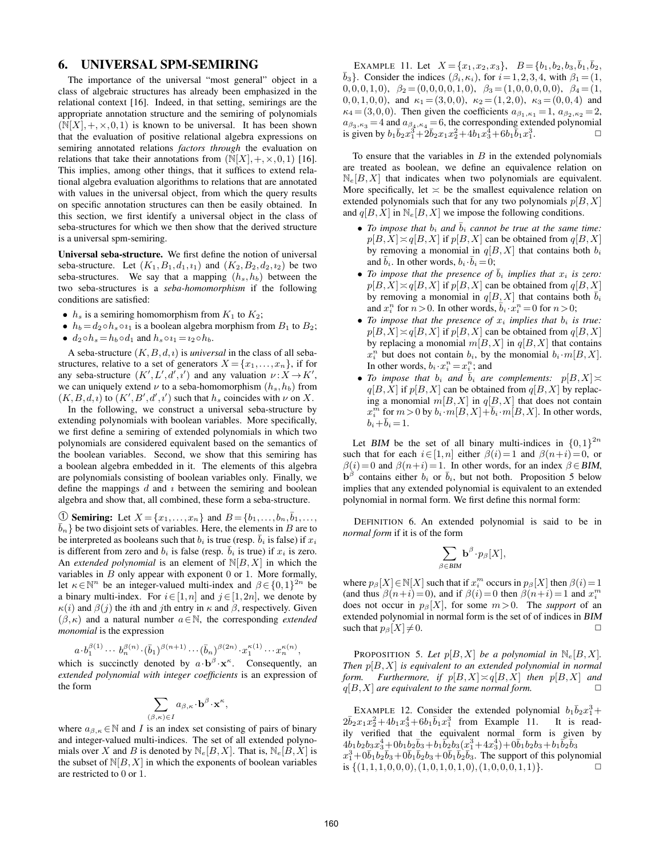## 6. UNIVERSAL SPM-SEMIRING

The importance of the universal "most general" object in a class of algebraic structures has already been emphasized in the relational context [16]. Indeed, in that setting, semirings are the appropriate annotation structure and the semiring of polynomials  $(N[X], +, \times, 0, 1)$  is known to be universal. It has been shown that the evaluation of positive relational algebra expressions on semiring annotated relations *factors through* the evaluation on relations that take their annotations from  $(N[X], +, \times, 0, 1)$  [16]. This implies, among other things, that it suffices to extend relational algebra evaluation algorithms to relations that are annotated with values in the universal object, from which the query results on specific annotation structures can then be easily obtained. In this section, we first identify a universal object in the class of seba-structures for which we then show that the derived structure is a universal spm-semiring.

Universal seba-structure. We first define the notion of universal seba-structure. Let  $(K_1, B_1, d_1, i_1)$  and  $(K_2, B_2, d_2, i_2)$  be two seba-structures. We say that a mapping  $(h_s, h_b)$  between the two seba-structures is a *seba-homomorphism* if the following conditions are satisfied:

- $h_s$  is a semiring homomorphism from  $K_1$  to  $K_2$ ;
- $h_b = d_2 \circ h_s \circ i_1$  is a boolean algebra morphism from  $B_1$  to  $B_2$ ;
- $d_2 \circ h_s = h_b \circ d_1$  and  $h_s \circ i_1 = i_2 \circ h_b$ .

A seba-structure  $(K, B, d, \iota)$  is *universal* in the class of all sebastructures, relative to a set of generators  $X = \{x_1, \ldots, x_n\}$ , if for any seba-structure  $(K', L', d', i')$  and any valuation  $\nu : X \to K'$ , we can uniquely extend  $\nu$  to a seba-homomorphism  $(h_s, h_b)$  from  $(K, B, d, \iota)$  to  $(K', B', d', \iota')$  such that  $h_s$  coincides with  $\nu$  on X.

In the following, we construct a universal seba-structure by extending polynomials with boolean variables. More specifically, we first define a semiring of extended polynomials in which two polynomials are considered equivalent based on the semantics of the boolean variables. Second, we show that this semiring has a boolean algebra embedded in it. The elements of this algebra are polynomials consisting of boolean variables only. Finally, we define the mappings  $d$  and  $i$  between the semiring and boolean algebra and show that, all combined, these form a seba-structure.

① Semiring: Let  $X = \{x_1, \ldots, x_n\}$  and  $B = \{b_1, \ldots, b_n, \overline{b}_1, \ldots, \overline{b}_n\}$  $\bar{b}_n$ } be two disjoint sets of variables. Here, the elements in B are to be interpreted as booleans such that  $b_i$  is true (resp.  $b_i$  is false) if  $x_i$ is different from zero and  $b_i$  is false (resp.  $b_i$  is true) if  $x_i$  is zero. An *extended polynomial* is an element of  $N[B,X]$  in which the variables in  $B$  only appear with exponent  $0$  or  $1$ . More formally, let  $\kappa \in \mathbb{N}^n$  be an integer-valued multi-index and  $\beta \in \{0,1\}^{2n}$  be a binary multi-index. For  $i \in [1,n]$  and  $j \in [1,2n]$ , we denote by  $\kappa(i)$  and  $\beta(j)$  the *i*th and *j*th entry in  $\kappa$  and  $\beta$ , respectively. Given  $(\beta,\kappa)$  and a natural number  $a \in \mathbb{N}$ , the corresponding *extended monomial* is the expression

$$
a \cdot b_1^{\beta(1)} \cdots b_n^{\beta(n)} \cdot (\bar{b}_1)^{\beta(n+1)} \cdots (\bar{b}_n)^{\beta(2n)} \cdot x_1^{\kappa(1)} \cdots x_n^{\kappa(n)},
$$

which is succinctly denoted by  $a \cdot b^\beta \cdot x^\kappa$ . Consequently, an *extended polynomial with integer coefficients* is an expression of the form

$$
\sum_{(\beta,\kappa)\in I} a_{\beta,\kappa} \cdot \mathbf{b}^{\beta} \cdot \mathbf{x}^{\kappa},
$$

where  $a_{\beta,\kappa} \in \mathbb{N}$  and I is an index set consisting of pairs of binary and integer-valued multi-indices. The set of all extended polynomials over X and B is denoted by  $\mathbb{N}_e[B,X]$ . That is,  $\mathbb{N}_e[B,X]$  is the subset of  $N[B,X]$  in which the exponents of boolean variables are restricted to 0 or 1.

EXAMPLE 11. Let  $X = \{x_1, x_2, x_3\}$ ,  $B = \{b_1, b_2, b_3, \overline{b}_1, \overline{b}_2,$  $\bar{b}_3$ }. Consider the indices  $(\beta_i, \kappa_i)$ , for  $i = 1, 2, 3, 4$ , with  $\beta_1 = (1, 1, 1, 1)$ 0,0,0,1,0),  $\beta_2 = (0,0,0,0,1,0), \ \beta_3 = (1,0,0,0,0,0), \ \beta_4 = (1,$ 0,0,1,0,0), and  $\kappa_1 = (3,0,0)$ ,  $\kappa_2 = (1,2,0)$ ,  $\kappa_3 = (0,0,4)$  and  $\kappa_4 = (3,0,0)$ . Then given the coefficients  $a_{\beta_1,\kappa_1} = 1, a_{\beta_2,\kappa_2} = 2$ ,  $a_{\beta_3,\kappa_3} = 4$  and  $a_{\beta_4,\kappa_4} = 6$ , the corresponding extended polynomial is given by  $b_1\bar{b}_2x_1^3+\bar{2}\bar{b}_2x_1x_2^2+4b_1x_3^4+6b_1\bar{b}_1x_1^3$  $\frac{3}{1}$ .  $\qquad \qquad \Box$ 

To ensure that the variables in  $B$  in the extended polynomials are treated as boolean, we define an equivalence relation on  $N_e[B, X]$  that indicates when two polynomials are equivalent. More specifically, let  $\leq$  be the smallest equivalence relation on extended polynomials such that for any two polynomials  $p[B,X]$ and  $q[B,X]$  in  $\mathbb{N}_e[B,X]$  we impose the following conditions.

- *To impose that*  $b_i$  *and*  $\overline{b}_i$  *cannot be true at the same time:*  $p[B,X] \asymp q[B,X]$  if  $p[B,X]$  can be obtained from  $q[B,X]$ by removing a monomial in  $q[B, X]$  that contains both  $b_i$ and  $\bar{b}_i$ . In other words,  $b_i \cdot \bar{b}_i = 0$ ;
- *To impose that the presence of*  $\overline{b}_i$  *implies that*  $x_i$  *is zero:*  $p[B,X] \asymp q[B,X]$  if  $p[B,X]$  can be obtained from  $q[B,X]$ by removing a monomial in  $q[B,X]$  that contains both  $\overline{b}_i$ and  $x_i^n$  for  $n > 0$ . In other words,  $\overline{b}_i \cdot x_i^n = 0$  for  $n > 0$ ;
- *To impose that the presence of*  $x_i$  *implies that*  $b_i$  *is true:*  $p[B,X] \asymp q[B,X]$  if  $p[B,X]$  can be obtained from  $q[B,X]$ by replacing a monomial  $m[B,X]$  in  $q[B,X]$  that contains  $x_i^n$  but does not contain  $b_i$ , by the monomial  $b_i \cdot m[B, X]$ . In other words,  $b_i \cdot x_i^n = x_i^n$ ; and
- *To impose that*  $b_i$  *and*  $\overline{b}_i$  *are complements:*  $p[B,X] \asymp$  $q[B,X]$  if  $p[B,X]$  can be obtained from  $q[B,X]$  by replacing a monomial  $m[B,X]$  in  $q[B,X]$  that does not contain  $x_i^{\overline{m}}$  for  $m > 0$  by  $b_i \cdot m[B,X] + \overline{b}_i \cdot m[B,X]$ . In other words,  $b_i+\bar{b}_i = 1.$

Let BIM be the set of all binary multi-indices in  $\{0,1\}^{2n}$ such that for each  $i \in [1,n]$  either  $\beta(i)=1$  and  $\beta(n+i)=0$ , or  $\beta(i)=0$  and  $\beta(n+i)=1$ . In other words, for an index  $\beta \in \text{BIM}$ ,  $\mathbf{b}^{\beta}$  contains either  $b_i$  or  $\bar{b}_i$ , but not both. Proposition 5 below implies that any extended polynomial is equivalent to an extended polynomial in normal form. We first define this normal form:

DEFINITION 6. An extended polynomial is said to be in *normal form* if it is of the form

$$
\sum_{\beta \in {\rm BIM}} {\bf b}^{\beta} \cdot p_{\beta}[X],
$$

where  $p_\beta[X] \in \mathbb{N}[X]$  such that if  $x_i^m$  occurs in  $p_\beta[X]$  then  $\beta(i) = 1$ (and thus  $\beta(n+i) = 0$ ), and if  $\beta(i) = 0$  then  $\beta(n+i) = 1$  and  $x_i^m$ does not occur in  $p_\beta[X]$ , for some  $m>0$ . The *support* of an extended polynomial in normal form is the set of of indices in BIM such that  $p_\beta[X]\neq 0$ .

PROPOSITION 5. Let  $p[B,X]$  be a polynomial in  $\mathbb{N}_e[B,X]$ . *Then* p[B,X] *is equivalent to an extended polynomial in normal form.* Furthermore, if  $p[B,X] \asymp q[B,X]$  then  $p[B,X]$  and  $q[B,X]$  *are equivalent to the same normal form.*  $\square$ 

EXAMPLE 12. Consider the extended polynomial  $b_1\bar{b}_2x_1^3 +$  $2\bar{b}_2x_1x_2^2+4b_1x_3^4+6b_1\bar{b}_1x_1^3$  from Example 11. It is readily verified that the equivalent normal form is given by  $4\bar{b}_1b_2b_3x_3^4 + 0b_1b_2\bar{b}_3 + b_1\bar{b_2}b_3(x_1^3 + 4x_3^4) + 0\bar{b}_1b_2b_3 + b_1\bar{b_2}\bar{b}_3$  $x_1^3 + 0\overline{b}_1b_2\overline{b}_3 + 0\overline{b}_1\overline{b}_2b_3 + 0\overline{b}_1\overline{b}_2\overline{b}_3$ . The support of this polynomial is  $\{(1,1,1,0,0,0), (1,0,1,0,1,0), (1,0,0,0,1,1)\}.$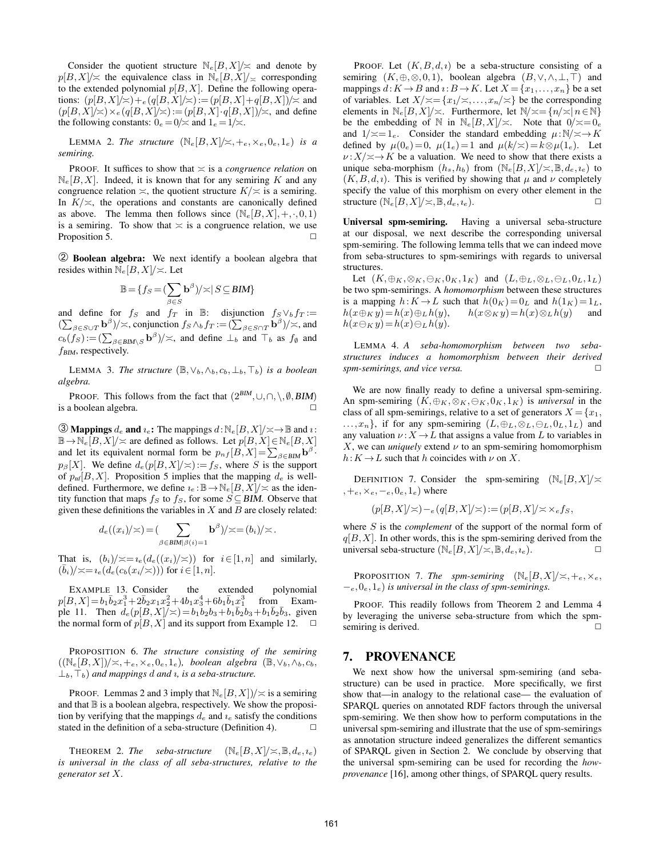Consider the quotient structure  $N_e[B,X]/\approx$  and denote by  $p[B,X]/\approx$  the equivalence class in  $\mathbb{N}_e[B,X]/\approx$  corresponding to the extended polynomial  $p[B, X]$ . Define the following operations:  $(p[B,X]/\leq) +_{e} (q[B,X]/\leq) := (p[B,X]+q[B,X])/\leq$  and  $(p[B,X]/\asymp) \times_e (q[B,X]/\asymp) := (p[B,X]\cdot q[B,X])/\asymp$ , and define the following constants:  $0_e = 0/\approx$  and  $1_e = 1/\approx$ .

LEMMA 2. The structure  $(\mathbb{N}_e[B,X]/\asymp, +_e, \times_e, 0_e, 1_e)$  is a *semiring.*

PROOF. It suffices to show that  $\leq$  is a *congruence relation* on  $\mathbb{N}_e[B,X]$ . Indeed, it is known that for any semiring K and any congruence relation  $\asymp$ , the quotient structure  $K/\asymp$  is a semiring. In  $K/\simeq$ , the operations and constants are canonically defined as above. The lemma then follows since  $(\mathbb{N}_e[B,X], +, \cdot, 0,1)$ is a semiring. To show that  $\leq$  is a congruence relation, we use Proposition 5. ✷

➁ Boolean algebra: We next identify a boolean algebra that resides within  $\mathbb{N}_e[B,X]/\asymp$ . Let

$$
\mathbb{B} = \{ f_S = (\sum_{\beta \in S} \mathbf{b}^{\beta}) / \asymp | S \subseteq \text{BIM} \}
$$

and define for  $f_S$  and  $f_T$  in B: disjunction  $f_S \vee_b f_T :=$  $(\sum_{\beta \in S \cup T} \mathbf{b}^{\beta})/\asymp$ , conjunction  $f_S \wedge_b f_T := (\sum_{\beta \in S \cap T} \mathbf{b}^{\beta})/\asymp$ , and  $c_b(f_S) := (\sum_{\beta \in \text{BIM}\setminus S} \mathbf{b}^{\beta})/\n\asymp$ , and define  $\perp_b$  and  $\top_b$  as  $f_{\emptyset}$  and  $f$ <sub>BIM</sub>, respectively.

LEMMA 3. *The structure*  $(\mathbb{B}, \vee_b, \wedge_b, c_b, \perp_b, \top_b)$  *is a boolean algebra.*

PROOF. This follows from the fact that  $(2^{BIM}, \cup, \cap, \setminus, \emptyset, \text{BIM})$ is a boolean algebra.

**③ Mappings**  $d_e$  and  $i_e$ : The mappings  $d: \mathbb{N}_e[B, X]/\times \rightarrow \mathbb{B}$  and  $i:$  $\mathbb{B} \to \mathbb{N}_e[B,X]/\simeq$  are defined as follows. Let  $p[B,X] \in \mathbb{N}_e[B,X]$ and let its equivalent normal form be  $p_{nf}[B, X] = \sum_{\beta \in \text{BIM}} \mathbf{b}^{\beta}$ .  $p_\beta[X]$ . We define  $d_e(p[B,X]/\asymp) := f_S$ , where S is the support of  $p_{\text{nf}}[B,X]$ . Proposition 5 implies that the mapping  $d_e$  is welldefined. Furthermore, we define  $i_e : \mathbb{B} \to \mathbb{N}_e[B, X] \times \mathbb{N}$  as the identity function that maps  $f_S$  to  $f_S$ , for some  $S \subseteq BIM$ . Observe that given these definitions the variables in  $X$  and  $B$  are closely related:

$$
d_e((x_i)/\asymp)=(\sum_{\beta\in \text{BIM}\mid \beta(i)=1} \mathbf{b}^{\beta})/\asymp=(b_i)/\asymp.
$$

That is,  $(b_i)/\asymp = i_e(d_e((x_i)/\asymp))$  for  $i\in [1,n]$  and similarly,  $(\bar{b}_i)/\!\!\asymp =\!\iota_e(d_e(c_b(x_i/\!\asymp)))$  for  $i\in[1,n].$ 

EXAMPLE 13. Consider the extended polynomial  $p[B,X] = b_1 \overline{b}_2 x_1^3 + 2 \overline{b}_2 x_1 x_2^2 + 4b_1 x_3^4 + 6b_1 \overline{b}_1 x_1^3$  from Example 11. Then  $d_e(p[B, X]/\asymp) = b_1b_2b_3 + b_1\overline{b}_2b_3 + b_1\overline{b}_2\overline{b}_3$ , given the normal form of  $p[B, X]$  and its support from Example 12.  $\Box$ 

PROPOSITION 6. *The structure consisting of the semiring*  $((\mathbb{N}_e[B,X])/\asymp,+e,\times_e,0_e,1_e)$ *, boolean algebra* ( $\mathbb{B},\vee_b,\wedge_b,c_b$ ,  $\perp_b, \perp_b$ ) *and mappings d and u, is a seba-structure.* 

PROOF. Lemmas 2 and 3 imply that  $\mathbb{N}_e[B,X]/\asymp$  is a semiring and that  $\mathbb B$  is a boolean algebra, respectively. We show the proposition by verifying that the mappings  $d_e$  and  $i_e$  satisfy the conditions stated in the definition of a seba-structure (Definition 4).  $\Box$ 

**THEOREM 2. The seba-structure**  $(\mathbb{N}_e[B,X]/\asymp,\mathbb{B}, d_e, i_e)$ *is universal in the class of all seba-structures, relative to the generator set* X*.*

PROOF. Let  $(K, B, d, \iota)$  be a seba-structure consisting of a semiring  $(K, \oplus, \otimes, 0, 1)$ , boolean algebra  $(B, \vee, \wedge, \perp, \top)$  and mappings  $d: K \to B$  and  $i: B \to K$ . Let  $X = \{x_1, \ldots, x_n\}$  be a set of variables. Let  $X/\n\asymp = \{x_1/\asymp, \ldots, x_n/\asymp\}$  be the corresponding elements in  $\mathbb{N}_e[B,X]/\times$ . Furthermore, let  $\mathbb{N}/\times=\{n/\times|n\in\mathbb{N}\}\$ be the embedding of N in  $\mathbb{N}_e[B,X]/\asymp$ . Note that  $0/\asymp 0_e$ and  $1/\approx = 1_e$ . Consider the standard embedding  $\mu:\mathbb{N}/\times\rightarrow K$ defined by  $\mu(0_e)=0$ ,  $\mu(1_e)=1$  and  $\mu(k/\approx)=k\otimes\mu(1_e)$ . Let  $\nu$  :  $X/\n\asymp \rightarrow K$  be a valuation. We need to show that there exists a unique seba-morphism  $(h_s, h_b)$  from  $(\mathbb{N}_e[B, X]/\asymp, \mathbb{B}, d_e, i_e)$  to  $(K, B, d, \iota)$ . This is verified by showing that  $\mu$  and  $\nu$  completely specify the value of this morphism on every other element in the structure  $(\mathbb{N}_e[B,X]/\asymp,\mathbb{B}, d_e, i_e).$ 

Universal spm-semiring. Having a universal seba-structure at our disposal, we next describe the corresponding universal spm-semiring. The following lemma tells that we can indeed move from seba-structures to spm-semirings with regards to universal structures.

Let  $(K, \oplus_K, \otimes_K, \ominus_K, 0_K, 1_K)$  and  $(L, \oplus_L, \otimes_L, \ominus_L, 0_L, 1_L)$ be two spm-semirings. A *homomorphism* between these structures is a mapping  $h: K \to L$  such that  $h(0_K)= 0_L$  and  $h(1_K)= 1_L$ ,  $h(x\oplus_K y)=h(x)\oplus_L h(y), \qquad h(x\otimes_K y)=h(x)\otimes_L h(y)$  and  $h(x\ominus_K y)=h(x)\ominus_L h(y).$ 

LEMMA 4. *A seba-homomorphism between two sebastructures induces a homomorphism between their derived spm-semirings, and vice versa.*  $\square$ 

We are now finally ready to define a universal spm-semiring. An spm-semiring  $(K, \oplus_K, \otimes_K, \ominus_K, 0_K, 1_K)$  is *universal* in the class of all spm-semirings, relative to a set of generators  $X = \{x_1,$  $...,x_n$ , if for any spm-semiring  $(L,\oplus_L,\otimes_L,\ominus_L,0_L,1_L)$  and any valuation  $\nu$  :  $X \to L$  that assigns a value from L to variables in X, we can *uniquely* extend  $\nu$  to an spm-semiring homomorphism  $h: K \to L$  such that h coincides with  $\nu$  on X.

DEFINITION 7. Consider the spm-semiring  $(N_e[B,X]) \approx$  $,+_e,\times_e,-_e,0_e,1_e)$  where

$$
(p[B,X]/\asymp) - e(q[B,X]/\asymp) := (p[B,X]/\asymp \times_e f_S,
$$

where S is the *complement* of the support of the normal form of  $q[B, X]$ . In other words, this is the spm-semiring derived from the universal seba-structure  $(\mathbb{N}_e[B,X]/\asymp,\mathbb{B}, d_e, i_e)$ .

**PROPOSITION 7. The spm-semiring**  $(\mathbb{N}_e[B,X]/\asymp,+e,\times_e,$ −e,0e,1e) *is universal in the class of spm-semirings.*

PROOF. This readily follows from Theorem 2 and Lemma 4 by leveraging the universe seba-structure from which the spmsemiring is derived.

#### 7. PROVENANCE

We next show how the universal spm-semiring (and sebastructure) can be used in practice. More specifically, we first show that—in analogy to the relational case— the evaluation of SPARQL queries on annotated RDF factors through the universal spm-semiring. We then show how to perform computations in the universal spm-semiring and illustrate that the use of spm-semirings as annotation structure indeed generalizes the different semantics of SPARQL given in Section 2. We conclude by observing that the universal spm-semiring can be used for recording the *howprovenance* [16], among other things, of SPARQL query results.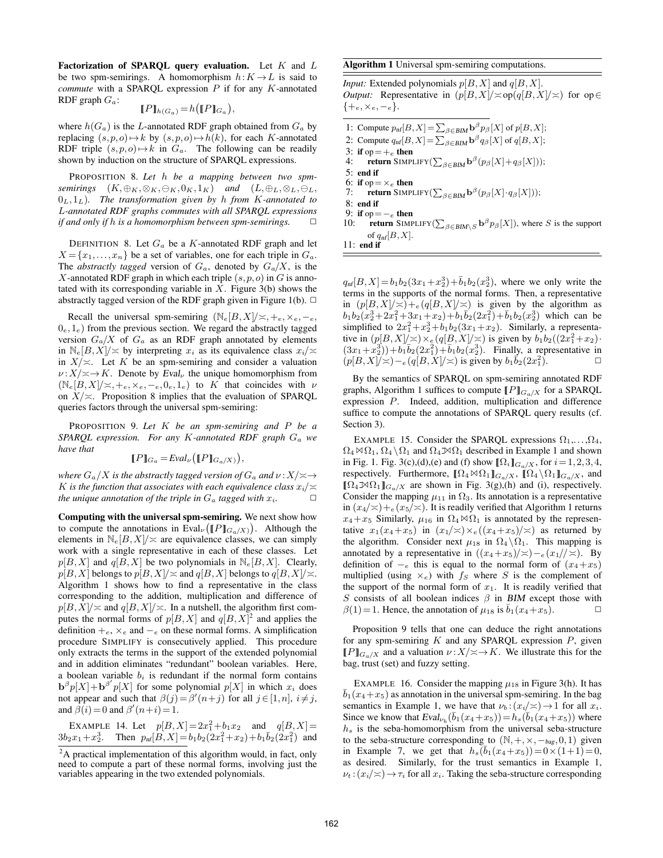Factorization of SPARQL query evaluation. Let  $K$  and  $L$ be two spm-semirings. A homomorphism  $h: K \to L$  is said to *commute* with a SPARQL expression P if for any K-annotated RDF graph  $G_a$ :

$$
[\![P]\!]_{h(G_a)} = h([\![P]\!]_{G_a}),
$$

where  $h(G_a)$  is the L-annotated RDF graph obtained from  $G_a$  by replacing  $(s, p, o) \mapsto k$  by  $(s, p, o) \mapsto h(k)$ , for each K-annotated RDF triple  $(s, p, o) \mapsto k$  in  $G_a$ . The following can be readily shown by induction on the structure of SPARQL expressions.

PROPOSITION 8. *Let* h *be a mapping between two spmsemirings*  $(K, \oplus_K, \otimes_K, \ominus_K, 0_K, 1_K)$  *and*  $(L, \oplus_L, \otimes_L, \ominus_L,$ 0L,1L)*. The transformation given by* h *from* K*-annotated to* L*-annotated RDF graphs commutes with all SPARQL expressions if and only if h is a homomorphism between spm-semirings.*  $\Box$ 

DEFINITION 8. Let  $G_a$  be a K-annotated RDF graph and let  $X = \{x_1, \ldots, x_n\}$  be a set of variables, one for each triple in  $G_a$ . The *abstractly tagged* version of  $G_a$ , denoted by  $G_a/X$ , is the X-annotated RDF graph in which each triple  $(s, p, o)$  in G is annotated with its corresponding variable in  $X$ . Figure 3(b) shows the abstractly tagged version of the RDF graph given in Figure 1(b).  $\Box$ 

Recall the universal spm-semiring  $(N_e|B,X|/\leq,+e,\times_e,-e,$  $0_e, 1_e$ ) from the previous section. We regard the abstractly tagged version  $G_a/X$  of  $G_a$  as an RDF graph annotated by elements in  $\mathbb{N}_e[B,X]/\asymp$  by interpreting  $x_i$  as its equivalence class  $x_i/\asymp$ in  $X/\simeq$ . Let K be an spm-semiring and consider a valuation  $\nu: X/\n\asymp \rightarrow K$ . Denote by Eval<sub> $\nu$ </sub> the unique homomorphism from  $(N_e[B,X]/\asymp,+e,\times_e,-e,0_e,1_e)$  to K that coincides with  $\nu$ on  $X/\simeq$ . Proposition 8 implies that the evaluation of SPARQL queries factors through the universal spm-semiring:

PROPOSITION 9. *Let* K *be an spm-semiring and* P *be a SPARQL expression. For any* K*-annotated RDF graph* G<sup>a</sup> *we have that*

$$
[\![P]\!]_{G_a} = \text{Eval}_{\nu}([\![P]\!]_{G_a/X)}),
$$

*where*  $G_a/X$  *is the abstractly tagged version of*  $G_a$  *and*  $\nu$  :  $X/\n\asymp \rightarrow$ K is the function that associates with each equivalence class  $x_i/\n<$ *the unique annotation of the triple in*  $G_a$  *tagged with*  $x_i$ *.* 

Computing with the universal spm-semiring. We next show how to compute the annotations in  $Eval_{\nu}(\llbracket P \rrbracket_{G_a/X})$ . Although the elements in  $\mathbb{N}_e[B,X]/\simeq$  are equivalence classes, we can simply work with a single representative in each of these classes. Let  $p[B,X]$  and  $q[B,X]$  be two polynomials in  $\mathbb{N}_e[B,X]$ . Clearly,  $p[B,X]$  belongs to  $p[B,X]/\leq$  and  $q[B,X]$  belongs to  $q[B,X]/\leq$ . Algorithm 1 shows how to find a representative in the class corresponding to the addition, multiplication and difference of  $p[B,X]/\asymp$  and  $q[B,X]/\asymp$ . In a nutshell, the algorithm first computes the normal forms of  $p[B,X]$  and  $q[B,X]^2$  and applies the definition  $+e$ ,  $\times_e$  and  $-e$  on these normal forms. A simplification procedure SIMPLIFY is consecutively applied. This procedure only extracts the terms in the support of the extended polynomial and in addition eliminates "redundant" boolean variables. Here, a boolean variable  $b_i$  is redundant if the normal form contains  $\mathbf{b}^{\beta} p[X] + \mathbf{b}^{\beta'} p[X]$  for some polynomial  $p[X]$  in which  $x_i$  does not appear and such that  $\beta(j) = \beta'(n+j)$  for all  $j \in [1,n], i \neq j$ , and  $\beta(i) = 0$  and  $\beta'(n+i) = 1$ .

EXAMPLE 14. Let  $p[B,X] = 2x_1^2 + b_1x_2$  and  $q[B,X] =$  $3b_2x_1+x_2^3$ . Then  $p_{n}[\overline{B},X]=b_1b_2(2x_1^2+x_2)+b_1\overline{b}_2(2x_1^2)$  and

#### Algorithm 1 Universal spm-semiring computations.

*Input:* Extended polynomials  $p[B, X]$  and  $q[B, X]$ . *Output:* Representative in  $(p|B, X|/\approx)p(q|B, X|/\approx)$  for  $op \in$  $\{+e, \times e, -e\}.$ 

- 1: Compute  $p_{\text{nf}}[B, X] = \sum_{\beta \in \text{BIM}} \mathbf{b}^{\beta} p_{\beta}[X]$  of  $p[B, X]$ ;
- 2: Compute  $q_{\text{nf}}[B, X] = \sum_{\beta \in \text{BIM}} \mathbf{b}^{\beta} q_{\beta}[X]$  of  $q[B, X]$ ;
- 3: if op  $=+e$  then<br>4: return SIMPI
- 4: return SIMPLIFY( $\sum_{\beta \in \text{BIM}} \mathbf{b}^{\beta}(p_{\beta}[X] + q_{\beta}[X])$ );

5: end if 6: if op  $=\times_e$  then

- 7: return SIMPLIFY( $\sum_{\beta \in \text{BIM}} \mathbf{b}^{\beta}(p_{\beta}[X] \cdot q_{\beta}[X])$ );
- 8: end if

9: if op  $=$   $-$ <sub>e</sub> then<br>10: **return** SIMP

10: **return** SIMPLIFY( $\sum_{\beta \in \text{BIM}\setminus S} \mathbf{b}^{\beta} p_{\beta}[X]$ ), where S is the support of  $q_{\text{nf}}[B,X]$ .

11: end if

 $q_{\text{nf}}[B,X] = b_1b_2(3x_1+x_2^3) + \bar{b}_1b_2(x_2^3)$ , where we only write the terms in the supports of the normal forms. Then, a representative in  $(p|B,X|/\approx)+e(q|B,X|/\approx)$  is given by the algorithm as  $b_1b_2(x_2^3+2x_1^2+3x_1+x_2)+b_1\overline{b}_2(2x_1^2)+\overline{b}_1b_2(x_2^3)$  which can be simplified to  $2x_1^2 + x_2^3 + b_1b_2(3x_1 + x_2)$ . Similarly, a representative in  $(p[B,X]/\times) \times e(q[B,X]/\times)$  is given by  $b_1b_2((2x_1^2+x_2) \cdot$  $(3x_1 + x_2^3) + b_1b_2(2x_1^2) + b_1b_2(x_2^3)$ . Finally, a representative in  $(p[B, X]/\simeq) -e(q[B, X]/\simeq)$  is given by  $b_1\overline{b_2}(2x_1^2)$ .

By the semantics of SPARQL on spm-semiring annotated RDF graphs, Algorithm 1 suffices to compute  $[$ [P] $_{G_a/X}$  for a SPARQL expression P. Indeed, addition, multiplication and difference suffice to compute the annotations of SPARQL query results (cf. Section 3).

EXAMPLE 15. Consider the SPARQL expressions  $\Omega_1, \ldots, \Omega_4$ ,  $\Omega_4 \bowtie \Omega_1$ ,  $\Omega_4 \backslash \Omega_1$  and  $\Omega_4 \bowtie \Omega_1$  described in Example 1 and shown in Fig. 1. Fig. 3(c),(d),(e) and (f) show  $[\![\Omega_i]\!]_{G_a/X}$ , for  $i = 1, 2, 3, 4$ , respectively. Furthermore,  $[\![\Omega_4 \boxtimes \Omega_1]\!]_{G_a/X}$ ,  $[\![\Omega_4 \backslash \Omega_1]\!]_{G_a/X}$ , and  $[\![\Omega_4\mathcal{M}\Omega_1]\!]_{G_q/X}$  are shown in Fig. 3(g),(h) and (i), respectively. Consider the mapping  $\mu_{11}$  in  $\Omega_3$ . Its annotation is a representative in  $(x_4/\simeq)+e(x_5/\simeq)$ . It is readily verified that Algorithm 1 returns  $x_4+x_5$  Similarly,  $\mu_{16}$  in  $\Omega_4 \bowtie \Omega_1$  is annotated by the representative  $x_1(x_4+x_5)$  in  $(x_1/\approx)\times\frac{e(x_4+x_5)}{\approx}$  as returned by the algorithm. Consider next  $\mu_{18}$  in  $\Omega_4 \setminus \Omega_1$ . This mapping is annotated by a representative in  $((x_4+x_5)/\approx) -e^{(x_1)/\approx}$ . By definition of  $-$ e this is equal to the normal form of  $(x_4+x_5)$ multiplied (using  $\times_e$ ) with  $f_S$  where S is the complement of the support of the normal form of  $x_1$ . It is readily verified that S consists of all boolean indices  $\beta$  in BIM except those with  $\beta(1)=1$ . Hence, the annotation of  $\mu_{18}$  is  $\bar{b}_1(x_4+x_5)$ .

Proposition 9 tells that one can deduce the right annotations for any spm-semiring  $K$  and any SPARQL expression  $P$ , given  $[$ [P] $_{G_0/X}$  and a valuation  $\nu$  :  $X/\n\asymp \rightarrow K$ . We illustrate this for the bag, trust (set) and fuzzy setting.

EXAMPLE 16. Consider the mapping  $\mu_{18}$  in Figure 3(h). It has  $b_1(x_4+x_5)$  as annotation in the universal spm-semiring. In the bag semantics in Example 1, we have that  $\nu_b$ :  $(x_i/\approx) \rightarrow 1$  for all  $x_i$ . Since we know that  $Eval_{\nu_b}(\bar{b}_1(x_4+x_5))=h_s(\bar{b}_1(x_4+x_5))$  where  $h<sub>s</sub>$  is the seba-homomorphism from the universal seba-structure to the seba-structure corresponding to  $(N, +, \times, -_{\text{bag}}, 0, 1)$  given in Example 7, we get that  $h_s(\bar{b}_1(x_4+x_5))=0 \times (1+1)=0$ , as desired. Similarly, for the trust semantics in Example 1,  $\nu_t$ :  $(x_i/\simeq) \rightarrow \tau_i$  for all  $x_i$ . Taking the seba-structure corresponding

 ${}^{2}$ A practical implementation of this algorithm would, in fact, only need to compute a part of these normal forms, involving just the variables appearing in the two extended polynomials.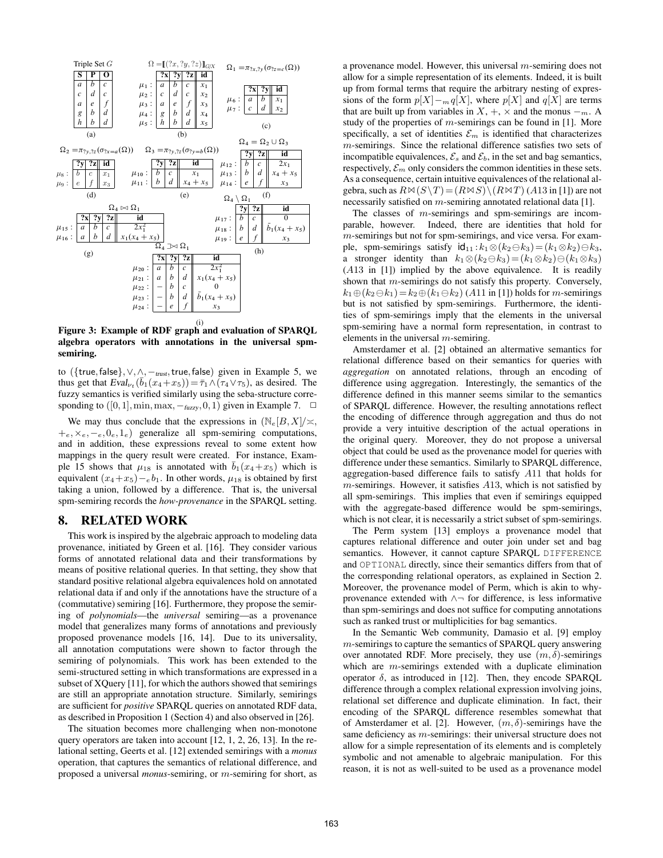

Figure 3: Example of RDF graph and evaluation of SPARQL algebra operators with annotations in the universal spmsemiring.

to ({true, false},  $\vee$ ,  $\wedge$ ,  $-$ <sub>trust</sub>, true, false) given in Example 5, we thus get that  $Eval_{\nu_t}(\bar{b}_1(x_4+x_5)) = \bar{\tau}_1 \wedge (\tau_4 \vee \tau_5)$ , as desired. The fuzzy semantics is verified similarly using the seba-structure corresponding to  $([0,1], \min, \max, -_{\text{fuzzy}}, 0, 1)$  given in Example 7.  $\Box$ 

We may thus conclude that the expressions in  $(\mathbb{N}_e[B,X]/\asymp)$ ,  $+e, \times e, -e, 0e, 1e)$  generalize all spm-semiring computations, and in addition, these expressions reveal to some extent how mappings in the query result were created. For instance, Example 15 shows that  $\mu_{18}$  is annotated with  $\bar{b}_1(x_4+x_5)$  which is equivalent  $(x_4+x_5)-e b_1$ . In other words,  $\mu_{18}$  is obtained by first taking a union, followed by a difference. That is, the universal spm-semiring records the *how-provenance* in the SPARQL setting.

## 8. RELATED WORK

This work is inspired by the algebraic approach to modeling data provenance, initiated by Green et al. [16]. They consider various forms of annotated relational data and their transformations by means of positive relational queries. In that setting, they show that standard positive relational algebra equivalences hold on annotated relational data if and only if the annotations have the structure of a (commutative) semiring [16]. Furthermore, they propose the semiring of *polynomials*—the *universal* semiring—as a provenance model that generalizes many forms of annotations and previously proposed provenance models [16, 14]. Due to its universality, all annotation computations were shown to factor through the semiring of polynomials. This work has been extended to the semi-structured setting in which transformations are expressed in a subset of XQuery [11], for which the authors showed that semirings are still an appropriate annotation structure. Similarly, semirings are sufficient for *positive* SPARQL queries on annotated RDF data, as described in Proposition 1 (Section 4) and also observed in [26].

The situation becomes more challenging when non-monotone query operators are taken into account [12, 1, 2, 26, 13]. In the relational setting, Geerts et al. [12] extended semirings with a *monus* operation, that captures the semantics of relational difference, and proposed a universal *monus*-semiring, or m-semiring for short, as a provenance model. However, this universal m-semiring does not allow for a simple representation of its elements. Indeed, it is built up from formal terms that require the arbitrary nesting of expressions of the form  $p[X]-_{m} q[X]$ , where  $p[X]$  and  $q[X]$  are terms that are built up from variables in  $X, +, \times$  and the monus  $-n$ . A study of the properties of  $m$ -semirings can be found in [1]. More specifically, a set of identities  $\mathcal{E}_m$  is identified that characterizes m-semirings. Since the relational difference satisfies two sets of incompatible equivalences,  $\mathcal{E}_s$  and  $\mathcal{E}_b$ , in the set and bag semantics, respectively,  $\mathcal{E}_m$  only considers the common identities in these sets. As a consequence, certain intuitive equivalences of the relational algebra, such as  $R \bowtie (S \backslash T) = (R \bowtie S) \backslash (R \bowtie T)$  (A13 in [1]) are not necessarily satisfied on m-semiring annotated relational data [1].

The classes of m-semirings and spm-semirings are incomparable, however. Indeed, there are identities that hold for m-semirings but not for spm-semirings, and vice versa. For example, spm-semirings satisfy  $id_{11}$ : $k_1 \otimes (k_2 \ominus k_3) = (k_1 \otimes k_2) \ominus k_3$ , a stronger identity than  $k_1 \otimes (k_2 \ominus k_3) = (k_1 \otimes k_2) \ominus (k_1 \otimes k_3)$ (A13 in [1]) implied by the above equivalence. It is readily shown that m-semirings do not satisfy this property. Conversely,  $k_1 \oplus (k_2 \ominus k_1) = k_2 \oplus (k_1 \ominus k_2)$  (A11 in [1]) holds for m-semirings but is not satisfied by spm-semirings. Furthermore, the identities of spm-semirings imply that the elements in the universal spm-semiring have a normal form representation, in contrast to elements in the universal  $m$ -semiring.

Amsterdamer et al. [2] obtained an altermative semantics for relational difference based on their semantics for queries with *aggregation* on annotated relations, through an encoding of difference using aggregation. Interestingly, the semantics of the difference defined in this manner seems similar to the semantics of SPARQL difference. However, the resulting annotations reflect the encoding of difference through aggregation and thus do not provide a very intuitive description of the actual operations in the original query. Moreover, they do not propose a universal object that could be used as the provenance model for queries with difference under these semantics. Similarly to SPARQL difference, aggregation-based difference fails to satisfy A11 that holds for m-semirings. However, it satisfies A13, which is not satisfied by all spm-semirings. This implies that even if semirings equipped with the aggregate-based difference would be spm-semirings, which is not clear, it is necessarily a strict subset of spm-semirings.

The Perm system [13] employs a provenance model that captures relational difference and outer join under set and bag semantics. However, it cannot capture SPARQL DIFFERENCE and OPTIONAL directly, since their semantics differs from that of the corresponding relational operators, as explained in Section 2. Moreover, the provenance model of Perm, which is akin to whyprovenance extended with ∧¬ for difference, is less informative than spm-semirings and does not suffice for computing annotations such as ranked trust or multiplicities for bag semantics.

In the Semantic Web community, Damasio et al. [9] employ  $m$ -semirings to capture the semantics of SPAROL query answering over annotated RDF. More precisely, they use  $(m, \delta)$ -semirings which are *m*-semirings extended with a duplicate elimination operator  $\delta$ , as introduced in [12]. Then, they encode SPARQL difference through a complex relational expression involving joins, relational set difference and duplicate elimination. In fact, their encoding of the SPARQL difference resembles somewhat that of Amsterdamer et al. [2]. However,  $(m, \delta)$ -semirings have the same deficiency as *m*-semirings: their universal structure does not allow for a simple representation of its elements and is completely symbolic and not amenable to algebraic manipulation. For this reason, it is not as well-suited to be used as a provenance model